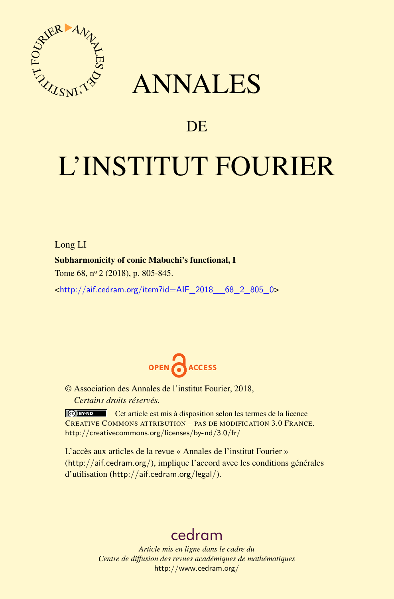

## ANNALES

## **DE**

# L'INSTITUT FOURIER

Long LI Subharmonicity of conic Mabuchi's functional, I Tome 68, n<sup>o</sup> 2 (2018), p. 805-845.

<[http://aif.cedram.org/item?id=AIF\\_2018\\_\\_68\\_2\\_805\\_0](http://aif.cedram.org/item?id=AIF_2018__68_2_805_0)>



© Association des Annales de l'institut Fourier, 2018, *Certains droits réservés.*

Cet article est mis à disposition selon les termes de la licence CREATIVE COMMONS ATTRIBUTION – PAS DE MODIFICATION 3.0 FRANCE. <http://creativecommons.org/licenses/by-nd/3.0/fr/>

L'accès aux articles de la revue « Annales de l'institut Fourier » (<http://aif.cedram.org/>), implique l'accord avec les conditions générales d'utilisation (<http://aif.cedram.org/legal/>).

## [cedram](http://www.cedram.org/)

*Article mis en ligne dans le cadre du Centre de diffusion des revues académiques de mathématiques* <http://www.cedram.org/>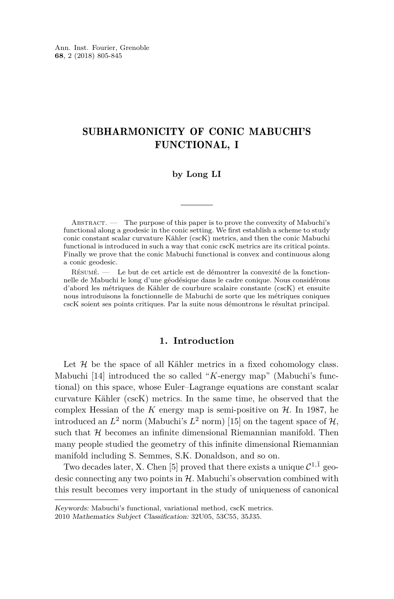#### SUBHARMONICITY OF CONIC MABUCHI'S FUNCTIONAL, I

#### **by Long LI**

Abstract. — The purpose of this paper is to prove the convexity of Mabuchi's functional along a geodesic in the conic setting. We first establish a scheme to study conic constant scalar curvature Kähler (cscK) metrics, and then the conic Mabuchi functional is introduced in such a way that conic cscK metrics are its critical points. Finally we prove that the conic Mabuchi functional is convex and continuous along a conic geodesic.

Résumé. — Le but de cet article est de démontrer la convexité de la fonctionnelle de Mabuchi le long d'une géodésique dans le cadre conique. Nous considérons d'abord les métriques de Kähler de courbure scalaire constante (cscK) et ensuite nous introduisons la fonctionnelle de Mabuchi de sorte que les métriques coniques cscK soient ses points critiques. Par la suite nous démontrons le résultat principal.

#### **1. Introduction**

Let  $H$  be the space of all Kähler metrics in a fixed cohomology class. Mabuchi [\[14\]](#page-41-0) introduced the so called "*K*-energy map" (Mabuchi's functional) on this space, whose Euler–Lagrange equations are constant scalar curvature Kähler (cscK) metrics. In the same time, he observed that the complex Hessian of the  $K$  energy map is semi-positive on  $H$ . In 1987, he introduced an  $L^2$  norm (Mabuchi's  $L^2$  norm) [\[15\]](#page-41-1) on the tagent space of  $H$ , such that  $H$  becomes an infinite dimensional Riemannian manifold. Then many people studied the geometry of this infinite dimensional Riemannian manifold including S. Semmes, S.K. Donaldson, and so on.

Two decades later, X. Chen [\[5\]](#page-40-0) proved that there exists a unique  $\mathcal{C}^{1,\bar{1}}$  geodesic connecting any two points in  $H$ . Mabuchi's observation combined with this result becomes very important in the study of uniqueness of canonical

Keywords: Mabuchi's functional, variational method, cscK metrics.

<sup>2010</sup> Mathematics Subject Classification: 32U05, 53C55, 35J35.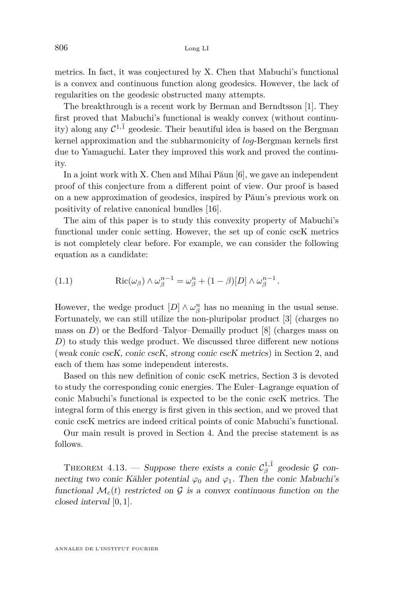metrics. In fact, it was conjectured by X. Chen that Mabuchi's functional is a convex and continuous function along geodesics. However, the lack of regularities on the geodesic obstructed many attempts.

The breakthrough is a recent work by Berman and Berndtsson [\[1\]](#page-40-1). They first proved that Mabuchi's functional is weakly convex (without continuity) along any  $C^{1,\bar{1}}$  geodesic. Their beautiful idea is based on the Bergman kernel approximation and the subharmonicity of *log*-Bergman kernels first due to Yamaguchi. Later they improved this work and proved the continuity.

In a joint work with X. Chen and Mihai Păun [\[6\]](#page-40-2), we gave an independent proof of this conjecture from a different point of view. Our proof is based on a new approximation of geodesics, inspired by Păun's previous work on positivity of relative canonical bundles [\[16\]](#page-41-2).

The aim of this paper is to study this convexity property of Mabuchi's functional under conic setting. However, the set up of conic cscK metrics is not completely clear before. For example, we can consider the following equation as a candidate:

(1.1) 
$$
\operatorname{Ric}(\omega_{\beta}) \wedge \omega_{\beta}^{n-1} = \omega_{\beta}^{n} + (1 - \beta)[D] \wedge \omega_{\beta}^{n-1}.
$$

However, the wedge product  $[D] \wedge \omega_{\beta}^n$  has no meaning in the usual sense. Fortunately, we can still utilize the non-pluripolar product [\[3\]](#page-40-3) (charges no mass on  $D$ ) or the Bedford–Talyor–Demailly product [\[8\]](#page-40-4) (charges mass on *D*) to study this wedge product. We discussed three different new notions (weak conic cscK, conic cscK, strong conic cscK metrics) in Section [2,](#page-3-0) and each of them has some independent interests.

Based on this new definition of conic cscK metrics, Section [3](#page-14-0) is devoted to study the corresponding conic energies. The Euler–Lagrange equation of conic Mabuchi's functional is expected to be the conic cscK metrics. The integral form of this energy is first given in this section, and we proved that conic cscK metrics are indeed critical points of conic Mabuchi's functional.

Our main result is proved in Section [4.](#page-20-0) And the precise statement is as follows.

THEOREM [4.13.](#page-34-0) — Suppose there exists a conic  $\mathcal{C}_{\beta}^{1,\bar{1}}$  geodesic  $\mathcal G$  connecting two conic Kähler potential  $\varphi_0$  and  $\varphi_1$ . Then the conic Mabuchi's functional  $\mathcal{M}_c(t)$  restricted on G is a convex continuous function on the closed interval [0*,* 1].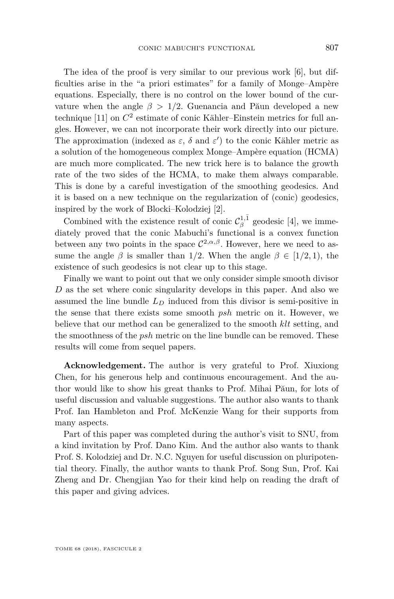The idea of the proof is very similar to our previous work [\[6\]](#page-40-2), but difficulties arise in the "a priori estimates" for a family of Monge–Ampère equations. Especially, there is no control on the lower bound of the curvature when the angle  $\beta > 1/2$ . Guenancia and Păun developed a new technique [\[11\]](#page-40-5) on *C* 2 estimate of conic Kähler–Einstein metrics for full angles. However, we can not incorporate their work directly into our picture. The approximation (indexed as  $\varepsilon$ ,  $\delta$  and  $\varepsilon'$ ) to the conic Kähler metric as a solution of the homogeneous complex Monge–Ampère equation (HCMA) are much more complicated. The new trick here is to balance the growth rate of the two sides of the HCMA, to make them always comparable. This is done by a careful investigation of the smoothing geodesics. And it is based on a new technique on the regularization of (conic) geodesics, inspired by the work of Blocki–Kolodziej [\[2\]](#page-40-6).

Combined with the existence result of conic  $\mathcal{C}_{\beta}^{1,\bar{1}}$  geodesic [\[4\]](#page-40-7), we immediately proved that the conic Mabuchi's functional is a convex function between any two points in the space  $\mathcal{C}^{2,\alpha,\beta}$ . However, here we need to assume the angle  $\beta$  is smaller than 1/2. When the angle  $\beta \in [1/2, 1)$ , the existence of such geodesics is not clear up to this stage.

Finally we want to point out that we only consider simple smooth divisor *D* as the set where conic singularity develops in this paper. And also we assumed the line bundle *L<sup>D</sup>* induced from this divisor is semi-positive in the sense that there exists some smooth *psh* metric on it. However, we believe that our method can be generalized to the smooth *klt* setting, and the smoothness of the *psh* metric on the line bundle can be removed. These results will come from sequel papers.

**Acknowledgement.** The author is very grateful to Prof. Xiuxiong Chen, for his generous help and continuous encouragement. And the author would like to show his great thanks to Prof. Mihai Păun, for lots of useful discussion and valuable suggestions. The author also wants to thank Prof. Ian Hambleton and Prof. McKenzie Wang for their supports from many aspects.

<span id="page-3-0"></span>Part of this paper was completed during the author's visit to SNU, from a kind invitation by Prof. Dano Kim. And the author also wants to thank Prof. S. Kolodziej and Dr. N.C. Nguyen for useful discussion on pluripotential theory. Finally, the author wants to thank Prof. Song Sun, Prof. Kai Zheng and Dr. Chengjian Yao for their kind help on reading the draft of this paper and giving advices.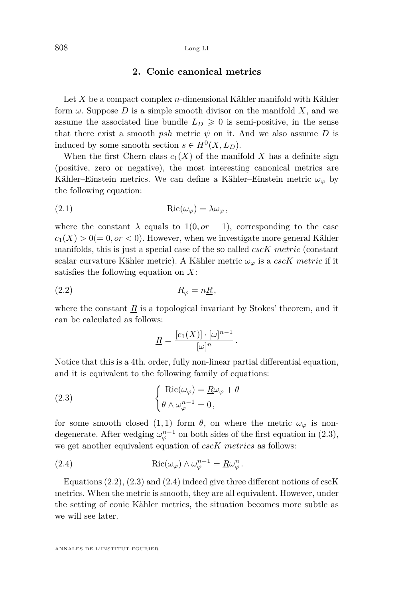#### 808 Long LI

#### **2. Conic canonical metrics**

Let *X* be a compact complex *n*-dimensional Kähler manifold with Kähler form  $\omega$ . Suppose D is a simple smooth divisor on the manifold X, and we assume the associated line bundle  $L_D \geq 0$  is semi-positive, in the sense that there exist a smooth *psh* metric  $\psi$  on it. And we also assume *D* is induced by some smooth section  $s \in H^0(X, L_D)$ .

When the first Chern class  $c_1(X)$  of the manifold X has a definite sign (positive, zero or negative), the most interesting canonical metrics are Kähler–Einstein metrics. We can define a Kähler–Einstein metric  $\omega_{\varphi}$  by the following equation:

(2.1) 
$$
Ric(\omega_{\varphi}) = \lambda \omega_{\varphi},
$$

where the constant  $\lambda$  equals to 1(0*, or* − 1), corresponding to the case  $c_1(X) > 0 (= 0, or < 0)$ . However, when we investigate more general Kähler manifolds, this is just a special case of the so called *cscK metric* (constant scalar curvature Kähler metric). A Kähler metric  $\omega_{\varphi}$  is a *cscK metric* if it satisfies the following equation on *X*:

$$
(2.2) \t\t R_{\varphi} = n\underline{R},
$$

where the constant  $\underline{R}$  is a topological invariant by Stokes' theorem, and it can be calculated as follows:

<span id="page-4-1"></span><span id="page-4-0"></span>
$$
\underline{R} = \frac{[c_1(X)] \cdot [\omega]^{n-1}}{[\omega]^n}.
$$

Notice that this is a 4th. order, fully non-linear partial differential equation, and it is equivalent to the following family of equations:

(2.3) 
$$
\begin{cases} \text{Ric}(\omega_{\varphi}) = \underline{R}\omega_{\varphi} + \theta \\ \theta \wedge \omega_{\varphi}^{n-1} = 0, \end{cases}
$$

for some smooth closed  $(1,1)$  form  $\theta$ , on where the metric  $\omega_{\varphi}$  is nondegenerate. After wedging  $\omega_{\varphi}^{n-1}$  on both sides of the first equation in [\(2.3\)](#page-4-0), we get another equivalent equation of *cscK metrics* as follows:

<span id="page-4-2"></span>(2.4) 
$$
Ric(\omega_{\varphi}) \wedge \omega_{\varphi}^{n-1} = \underline{R}\omega_{\varphi}^{n}.
$$

Equations  $(2.2)$ ,  $(2.3)$  and  $(2.4)$  indeed give three different notions of cscK metrics. When the metric is smooth, they are all equivalent. However, under the setting of conic Kähler metrics, the situation becomes more subtle as we will see later.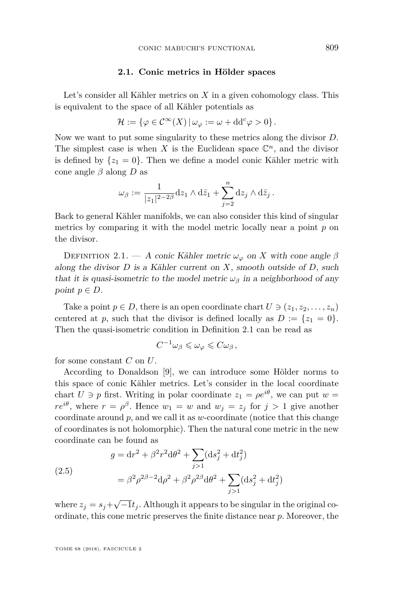#### **2.1. Conic metrics in Hölder spaces**

Let's consider all Kähler metrics on *X* in a given cohomology class. This is equivalent to the space of all Kähler potentials as

$$
\mathcal{H} := \{ \varphi \in C^{\infty}(X) \, | \, \omega_{\varphi} := \omega + \mathrm{d} \mathrm{d}^c \varphi > 0 \}.
$$

Now we want to put some singularity to these metrics along the divisor *D*. The simplest case is when  $X$  is the Euclidean space  $\mathbb{C}^n$ , and the divisor is defined by  $\{z_1 = 0\}$ . Then we define a model conic Kähler metric with cone angle *β* along *D* as

$$
\omega_{\beta} := \frac{1}{|z_1|^{2-2\beta}} \mathrm{d} z_1 \wedge \mathrm{d} \bar{z}_1 + \sum_{j=2}^n \mathrm{d} z_j \wedge \mathrm{d} \bar{z}_j.
$$

Back to general Kähler manifolds, we can also consider this kind of singular metrics by comparing it with the model metric locally near a point *p* on the divisor.

<span id="page-5-0"></span>DEFINITION 2.1. — A conic Kähler metric  $\omega_{\varphi}$  on X with cone angle  $\beta$ along the divisor *D* is a Kähler current on *X*, smooth outside of *D*, such that it is quasi-isometric to the model metric  $\omega_{\beta}$  in a neighborhood of any point  $p \in D$ .

Take a point  $p \in D$ , there is an open coordinate chart  $U \ni (z_1, z_2, \ldots, z_n)$ centered at *p*, such that the divisor is defined locally as  $D := \{z_1 = 0\}.$ Then the quasi-isometric condition in Definition [2.1](#page-5-0) can be read as

$$
C^{-1}\omega_{\beta}\leqslant \omega_{\varphi}\leqslant C\omega_{\beta}\,,
$$

for some constant *C* on *U*.

According to Donaldson [\[9\]](#page-40-8), we can introduce some Hölder norms to this space of conic Kähler metrics. Let's consider in the local coordinate chart  $U \ni p$  first. Writing in polar coordinate  $z_1 = \rho e^{i\theta}$ , we can put  $w =$ *re*<sup>*iθ*</sup>, where  $r = \rho^{\beta}$ . Hence  $w_1 = w$  and  $w_j = z_j$  for  $j > 1$  give another coordinate around *p*, and we call it as *w*-coordinate (notice that this change of coordinates is not holomorphic). Then the natural cone metric in the new coordinate can be found as

(2.5)  
\n
$$
g = dr^{2} + \beta^{2} r^{2} d\theta^{2} + \sum_{j>1} (ds_{j}^{2} + dt_{j}^{2})
$$
\n
$$
= \beta^{2} \rho^{2\beta - 2} d\rho^{2} + \beta^{2} \rho^{2\beta} d\theta^{2} + \sum_{j>1} (ds_{j}^{2} + dt_{j}^{2})
$$

where  $z_j = s_j + \sqrt{-1}t_j$ . Although it appears to be singular in the original coordinate, this cone metric preserves the finite distance near *p*. Moreover, the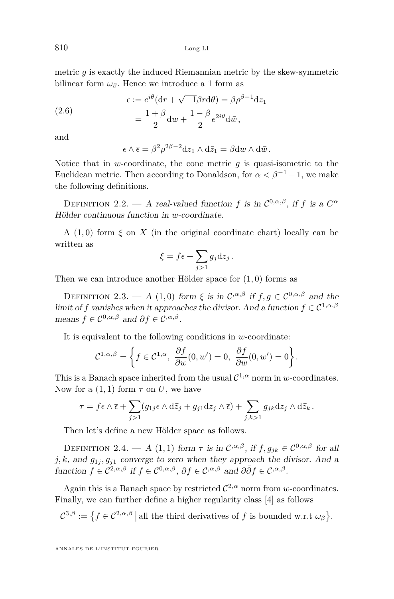810 Long LI

metric *g* is exactly the induced Riemannian metric by the skew-symmetric bilinear form  $\omega_{\beta}$ . Hence we introduce a 1 form as

(2.6) 
$$
\epsilon := e^{i\theta} (\mathrm{d}r + \sqrt{-1}\beta r \mathrm{d}\theta) = \beta \rho^{\beta - 1} \mathrm{d}z_1
$$

$$
= \frac{1 + \beta}{2} \mathrm{d}w + \frac{1 - \beta}{2} e^{2i\theta} \mathrm{d}\bar{w},
$$

and

$$
\epsilon \wedge \overline{\epsilon} = \beta^2 \rho^{2\beta - 2} dz_1 \wedge d\overline{z}_1 = \beta dw \wedge d\overline{w}.
$$

Notice that in *w*-coordinate, the cone metric *g* is quasi-isometric to the Euclidean metric. Then according to Donaldson, for  $\alpha < \beta^{-1} - 1$ , we make the following definitions.

DEFINITION 2.2. — A real-valued function *f* is in  $\mathcal{C}^{0,\alpha,\beta}$ , if *f* is a  $C^{\alpha}$ Hölder continuous function in *w*-coordinate.

A  $(1,0)$  form  $\xi$  on  $X$  (in the original coordinate chart) locally can be written as

$$
\xi = f\epsilon + \sum_{j>1} g_j \mathrm{d} z_j.
$$

Then we can introduce another Hölder space for (1*,* 0) forms as

DEFINITION 2.3. — A (1,0) form  $\xi$  is in  $\mathcal{C}^{,\alpha,\beta}$  if  $f,g \in \mathcal{C}^{0,\alpha,\beta}$  and the limit of *f* vanishes when it approaches the divisor. And a function  $f \in C^{1,\alpha,\beta}$ means  $f \in C^{0,\alpha,\beta}$  and  $\partial f \in C^{,\alpha,\beta}$ .

It is equivalent to the following conditions in *w*-coordinate:

$$
\mathcal{C}^{1,\alpha,\beta} = \left\{ f \in \mathcal{C}^{1,\alpha}, \ \frac{\partial f}{\partial w}(0,w') = 0, \ \frac{\partial f}{\partial \bar{w}}(0,w') = 0 \right\}.
$$

This is a Banach space inherited from the usual  $\mathcal{C}^{1,\alpha}$  norm in *w*-coordinates. Now for a  $(1,1)$  form  $\tau$  on U, we have

$$
\tau = f \epsilon \wedge \overline{\epsilon} + \sum_{j>1} (g_{1j} \epsilon \wedge d\overline{z}_j + g_{j1} dz_j \wedge \overline{\epsilon}) + \sum_{j,k>1} g_{jk} dz_j \wedge d\overline{z}_k.
$$

Then let's define a new Hölder space as follows.

DEFINITION 2.4. — A (1,1) form  $\tau$  is in  $C^{\alpha,\beta}$ , if  $f, g_{jk} \in C^{0,\alpha,\beta}$  for all  $j, k$ , and  $g_{1j}, g_{j1}$  converge to zero when they approach the divisor. And a function  $f \in C^{2,\alpha,\beta}$  if  $f \in C^{0,\alpha,\beta}$ ,  $\partial f \in C^{,\alpha,\beta}$  and  $\partial \bar{\partial} f \in C^{,\alpha,\beta}$ .

Again this is a Banach space by restricted  $\mathcal{C}^{2,\alpha}$  norm from *w*-coordinates. Finally, we can further define a higher regularity class [\[4\]](#page-40-7) as follows

 $\mathcal{C}^{3,\beta} := \{ f \in \mathcal{C}^{2,\alpha,\beta} \mid \text{all the third derivatives of } f \text{ is bounded w.r.t } \omega_{\beta} \}.$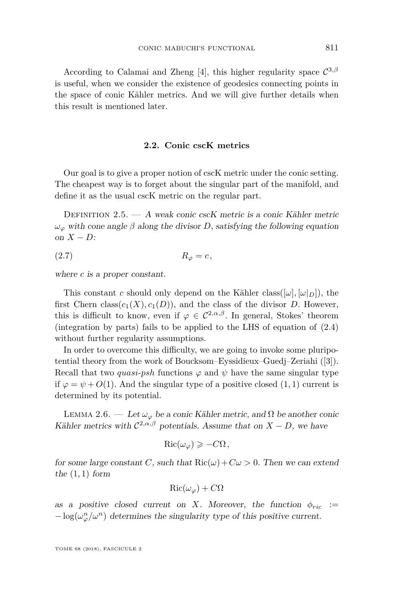According to Calamai and Zheng [\[4\]](#page-40-7), this higher regularity space  $\mathcal{C}^{3,\beta}$ is useful, when we consider the existence of geodesics connecting points in the space of conic Kähler metrics. And we will give further details when this result is mentioned later.

#### **2.2. Conic cscK metrics**

Our goal is to give a proper notion of cscK metric under the conic setting. The cheapest way is to forget about the singular part of the manifold, and define it as the usual cscK metric on the regular part.

DEFINITION  $2.5. - A$  weak conic cscK metric is a conic Kähler metric  $ω<sub>ϕ</sub>$  with cone angle *β* along the divisor *D*, satisfying the following equation on *X* − *D*:

$$
(2.7) \t\t R_{\varphi} = c,
$$

where *c* is a proper constant.

This constant *c* should only depend on the Kähler class( $[\omega, [\omega, \rho])$ , the first Chern class( $c_1(X)$ ,  $c_1(D)$ ), and the class of the divisor *D*. However, this is difficult to know, even if  $\varphi \in C^{2,\alpha,\beta}$ . In general, Stokes' theorem (integration by parts) fails to be applied to the LHS of equation of [\(2.4\)](#page-4-2) without further regularity assumptions.

In order to overcome this difficulty, we are going to invoke some pluripotential theory from the work of Boucksom–Eyssidieux–Guedj–Zeriahi ([\[3\]](#page-40-3)). Recall that two *quasi-psh* functions  $\varphi$  and  $\psi$  have the same singular type if  $\varphi = \psi + O(1)$ . And the singular type of a positive closed  $(1, 1)$  current is determined by its potential.

<span id="page-7-0"></span>LEMMA 2.6. — Let  $\omega_{\varphi}$  be a conic Kähler metric, and  $\Omega$  be another conic Kähler metrics with  $C^{2,\alpha,\beta}$  potentials. Assume that on  $X - D$ , we have

$$
\text{Ric}(\omega_{\varphi}) \geqslant -C\Omega,
$$

for some large constant *C*, such that  $\text{Ric}(\omega) + C\omega > 0$ . Then we can extend the (1*,* 1) form

$$
\operatorname{Ric}(\omega_{\varphi}) + C\Omega
$$

as a positive closed current on *X*. Moreover, the function  $\phi_{ric}$  :=  $-\log(\omega_{\varphi}^n/\omega^n)$  determines the singularity type of this positive current.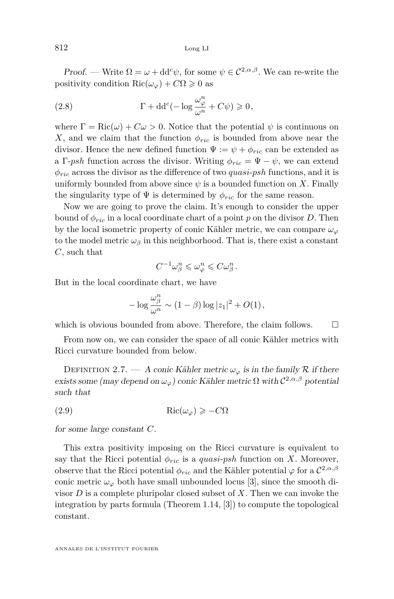812 Long LI

Proof. — Write  $\Omega = \omega + dd^c \psi$ , for some  $\psi \in C^{2,\alpha,\beta}$ . We can re-write the positivity condition Ric( $\omega_{\varphi}$ ) +  $C\Omega \geq 0$  as

(2.8) 
$$
\Gamma + dd^c(-\log \frac{\omega_{\varphi}^n}{\omega^n} + C\psi) \geq 0,
$$

where  $\Gamma = \text{Ric}(\omega) + C\omega > 0$ . Notice that the potential  $\psi$  is continuous on *X*, and we claim that the function  $\phi_{ric}$  is bounded from above near the divisor. Hence the new defined function  $\Psi := \psi + \phi_{ric}$  can be extended as a Γ-*psh* function across the divisor. Writing  $\phi_{ric} = \Psi - \psi$ , we can extend *φric* across the divisor as the difference of two *quasi*-*psh* functions, and it is uniformly bounded from above since  $\psi$  is a bounded function on X. Finally the singularity type of  $\Psi$  is determined by  $\phi_{ric}$  for the same reason.

Now we are going to prove the claim. It's enough to consider the upper bound of  $\phi_{ric}$  in a local coordinate chart of a point p on the divisor D. Then by the local isometric property of conic Kähler metric, we can compare  $\omega_\varphi$ to the model metric  $\omega_{\beta}$  in this neighborhood. That is, there exist a constant *C*, such that

$$
C^{-1}\omega_{\beta}^n \leqslant \omega_{\varphi}^n \leqslant C\omega_{\beta}^n.
$$

But in the local coordinate chart, we have

$$
-\log \frac{\omega_{\beta}^n}{\omega^n} \sim (1-\beta) \log |z_1|^2 + O(1),
$$

which is obvious bounded from above. Therefore, the claim follows.  $\Box$ 

From now on, we can consider the space of all conic Kähler metrics with Ricci curvature bounded from below.

DEFINITION 2.7. — A conic Kähler metric  $\omega_{\varphi}$  is in the family R if there exists some (may depend on  $\omega_{\varphi}$ ) conic Kähler metric  $\Omega$  with  $C^{2,\alpha,\beta}$  potential such that

(2.9) Ric $(\omega_{\varphi}) \geq -C\Omega$ 

for some large constant *C*.

This extra positivity imposing on the Ricci curvature is equivalent to say that the Ricci potential  $\phi_{ric}$  is a *quasi-psh* function on *X*. Moreover, observe that the Ricci potential  $\phi_{ric}$  and the Kähler potential  $\varphi$  for a  $\mathcal{C}^{2,\alpha,\beta}$ conic metric  $\omega_\varphi$  both have small unbounded locus [\[3\]](#page-40-3), since the smooth divisor *D* is a complete pluripolar closed subset of *X*. Then we can invoke the integration by parts formula (Theorem 1.14, [\[3\]](#page-40-3)) to compute the topological constant.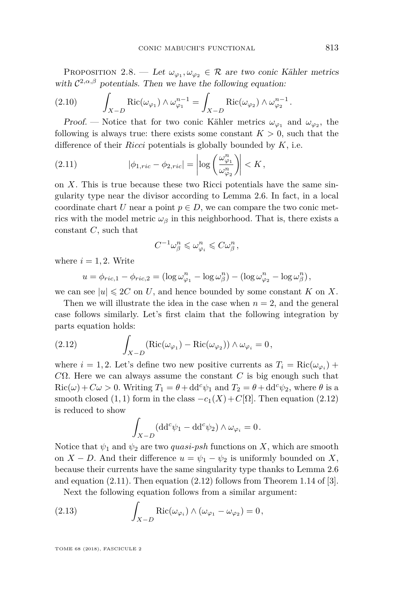<span id="page-9-4"></span>PROPOSITION 2.8. — Let  $\omega_{\varphi_1}, \omega_{\varphi_2} \in \mathcal{R}$  are two conic Kähler metrics with  $C^{2,\alpha,\beta}$  potentials. Then we have the following equation:

<span id="page-9-3"></span>(2.10) 
$$
\int_{X-D} \text{Ric}(\omega_{\varphi_1}) \wedge \omega_{\varphi_1}^{n-1} = \int_{X-D} \text{Ric}(\omega_{\varphi_2}) \wedge \omega_{\varphi_2}^{n-1}.
$$

Proof. — Notice that for two conic Kähler metrics  $\omega_{\varphi_1}$  and  $\omega_{\varphi_2}$ , the following is always true: there exists some constant  $K > 0$ , such that the difference of their *Ricci* potentials is globally bounded by *K*, i.e.

<span id="page-9-1"></span>(2.11) 
$$
|\phi_{1,ric} - \phi_{2,ric}| = \left| \log \left( \frac{\omega_{\varphi_1}^n}{\omega_{\varphi_2}^n} \right) \right| < K,
$$

on *X*. This is true because these two Ricci potentials have the same singularity type near the divisor according to Lemma [2.6.](#page-7-0) In fact, in a local coordinate chart *U* near a point  $p \in D$ , we can compare the two conic metrics with the model metric  $\omega_{\beta}$  in this neighborhood. That is, there exists a constant *C*, such that

$$
C^{-1}\omega_{\beta}^n\leqslant \omega_{\varphi_i}^n\leqslant C\omega_{\beta}^n\,,
$$

where  $i = 1, 2$ . Write

$$
u = \phi_{ric,1} - \phi_{ric,2} = (\log \omega_{\varphi_1}^n - \log \omega_{\beta}^n) - (\log \omega_{\varphi_2}^n - \log \omega_{\beta}^n),
$$

we can see  $|u| \leq 2C$  on *U*, and hence bounded by some constant *K* on *X*.

Then we will illustrate the idea in the case when  $n = 2$ , and the general case follows similarly. Let's first claim that the following integration by parts equation holds:

<span id="page-9-0"></span>(2.12) 
$$
\int_{X-D} (\text{Ric}(\omega_{\varphi_1}) - \text{Ric}(\omega_{\varphi_2})) \wedge \omega_{\varphi_i} = 0,
$$

where  $i = 1, 2$ . Let's define two new positive currents as  $T_i = \text{Ric}(\omega_{\varphi_i}) +$ *C*Ω. Here we can always assume the constant *C* is big enough such that  $Ric(\omega) + C\omega > 0$ . Writing  $T_1 = \theta + dd^c \psi_1$  and  $T_2 = \theta + dd^c \psi_2$ , where  $\theta$  is a smooth closed (1, 1) form in the class  $-c_1(X) + C[\Omega]$ . Then equation [\(2.12\)](#page-9-0) is reduced to show

$$
\int_{X-D} (\mathrm{d} \mathrm{d}^c \psi_1 - \mathrm{d} \mathrm{d}^c \psi_2) \wedge \omega_{\varphi_i} = 0.
$$

Notice that  $\psi_1$  and  $\psi_2$  are two *quasi-psh* functions on *X*, which are smooth on *X* − *D*. And their difference  $u = \psi_1 - \psi_2$  is uniformly bounded on *X*, because their currents have the same singularity type thanks to Lemma [2.6](#page-7-0) and equation  $(2.11)$ . Then equation  $(2.12)$  follows from Theorem 1.14 of [\[3\]](#page-40-3).

<span id="page-9-2"></span>Next the following equation follows from a similar argument:

(2.13) 
$$
\int_{X-D} \text{Ric}(\omega_{\varphi_i}) \wedge (\omega_{\varphi_1} - \omega_{\varphi_2}) = 0,
$$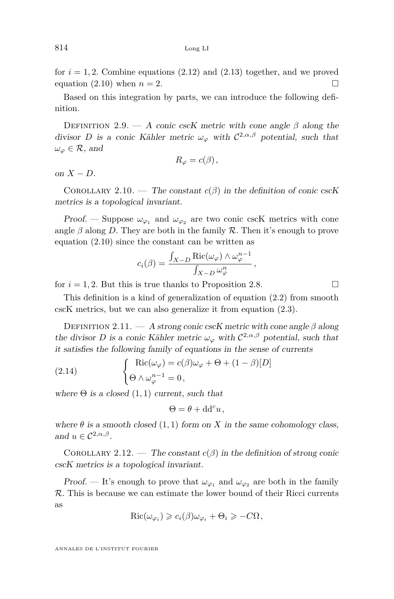for  $i = 1, 2$ . Combine equations  $(2.12)$  and  $(2.13)$  together, and we proved equation [\(2.10\)](#page-9-3) when  $n = 2$ .

Based on this integration by parts, we can introduce the following definition.

DEFINITION 2.9. — A conic cscK metric with cone angle  $\beta$  along the divisor *D* is a conic Kähler metric  $\omega_{\varphi}$  with  $C^{2,\alpha,\beta}$  potential, such that  $\omega_{\varphi} \in \mathcal{R}$ , and

$$
R_{\varphi}=c(\beta),
$$

on  $X - D$ .

COROLLARY 2.10. — The constant  $c(\beta)$  in the definition of conic cscK metrics is a topological invariant.

Proof. — Suppose  $\omega_{\varphi_1}$  and  $\omega_{\varphi_2}$  are two conic cscK metrics with cone angle  $\beta$  along *D*. They are both in the family  $\beta$ . Then it's enough to prove equation [\(2.10\)](#page-9-3) since the constant can be written as

$$
c_i(\beta) = \frac{\int_{X-D} \text{Ric}(\omega_{\varphi}) \wedge \omega_{\varphi}^{n-1}}{\int_{X-D} \omega_{\varphi}^n},
$$

for  $i = 1, 2$ . But this is true thanks to Proposition [2.8.](#page-9-4)

This definition is a kind of generalization of equation [\(2.2\)](#page-4-1) from smooth cscK metrics, but we can also generalize it from equation [\(2.3\)](#page-4-0).

Definition 2.11. — A strong conic cscK metric with cone angle *β* along the divisor *D* is a conic Kähler metric  $\omega_{\varphi}$  with  $C^{2,\alpha,\beta}$  potential, such that it satisfies the following family of equations in the sense of currents

(2.14) 
$$
\begin{cases} \text{Ric}(\omega_{\varphi}) = c(\beta)\omega_{\varphi} + \Theta + (1 - \beta)[D] \\ \Theta \wedge \omega_{\varphi}^{n-1} = 0, \end{cases}
$$

where  $\Theta$  is a closed  $(1, 1)$  current, such that

<span id="page-10-0"></span> $\Theta = \theta + \mathrm{d} \mathrm{d}^c u$ ,

where  $\theta$  is a smooth closed (1, 1) form on *X* in the same cohomology class, and  $u \in C^{2,\alpha,\beta}$ .

COROLLARY 2.12. — The constant  $c(\beta)$  in the definition of strong conic cscK metrics is a topological invariant.

Proof. — It's enough to prove that  $\omega_{\varphi_1}$  and  $\omega_{\varphi_2}$  are both in the family R. This is because we can estimate the lower bound of their Ricci currents as

$$
Ric(\omega_{\varphi_i}) \geqslant c_i(\beta)\omega_{\varphi_i} + \Theta_i \geqslant -C\Omega,
$$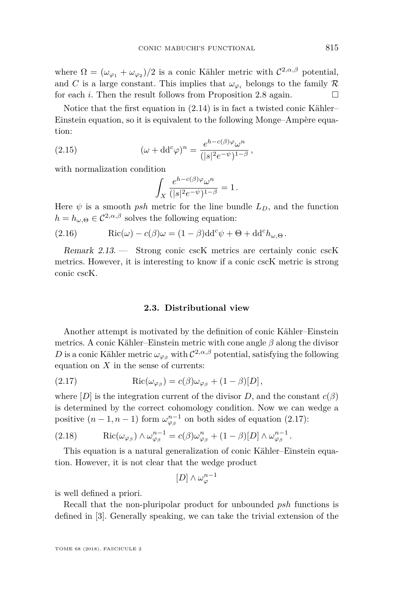where  $\Omega = (\omega_{\varphi_1} + \omega_{\varphi_2})/2$  is a conic Kähler metric with  $C^{2,\alpha,\beta}$  potential, and *C* is a large constant. This implies that  $\omega_{\varphi}$  belongs to the family R for each *i*. Then the result follows from Proposition [2.8](#page-9-4) again.

Notice that the first equation in [\(2.14\)](#page-10-0) is in fact a twisted conic Kähler– Einstein equation, so it is equivalent to the following Monge–Ampère equation:

(2.15) 
$$
(\omega + dd^c \varphi)^n = \frac{e^{h - c(\beta)\varphi} \omega^n}{(|s|^2 e^{-\psi})^{1 - \beta}},
$$

with normalization condition

$$
\int_X \frac{e^{h-c(\beta)\varphi}\omega^n}{(|s|^2e^{-\psi})^{1-\beta}}=1.
$$

Here  $\psi$  is a smooth *psh* metric for the line bundle  $L_D$ , and the function  $h = h_{\omega,\Theta} \in C^{2,\alpha,\beta}$  solves the following equation:

(2.16) 
$$
Ric(\omega) - c(\beta)\omega = (1 - \beta)dd^c \psi + \Theta + dd^c h_{\omega,\Theta}.
$$

Remark 2.13. — Strong conic cscK metrics are certainly conic cscK metrics. However, it is interesting to know if a conic cscK metric is strong conic cscK.

#### <span id="page-11-0"></span>**2.3. Distributional view**

Another attempt is motivated by the definition of conic Kähler–Einstein metrics. A conic Kähler–Einstein metric with cone angle *β* along the divisor *D* is a conic Kähler metric  $\omega_{\varphi_{\beta}}$  with  $C^{2,\alpha,\beta}$  potential, satisfying the following equation on *X* in the sense of currents:

(2.17) 
$$
Ric(\omega_{\varphi_{\beta}}) = c(\beta)\omega_{\varphi_{\beta}} + (1-\beta)[D],
$$

where  $[D]$  is the integration current of the divisor *D*, and the constant  $c(\beta)$ is determined by the correct cohomology condition. Now we can wedge a positive  $(n-1, n-1)$  form  $\omega_{\varphi_\beta}^{n-1}$  on both sides of equation [\(2.17\)](#page-11-0):

<span id="page-11-1"></span>(2.18) 
$$
\operatorname{Ric}(\omega_{\varphi_{\beta}}) \wedge \omega_{\varphi_{\beta}}^{n-1} = c(\beta)\omega_{\varphi_{\beta}}^{n} + (1-\beta)[D] \wedge \omega_{\varphi_{\beta}}^{n-1}.
$$

This equation is a natural generalization of conic Kähler–Einstein equation. However, it is not clear that the wedge product

$$
[D]\wedge\omega^{n-1}_\varphi
$$

is well defined a priori.

Recall that the non-pluripolar product for unbounded *psh* functions is defined in [\[3\]](#page-40-3). Generally speaking, we can take the trivial extension of the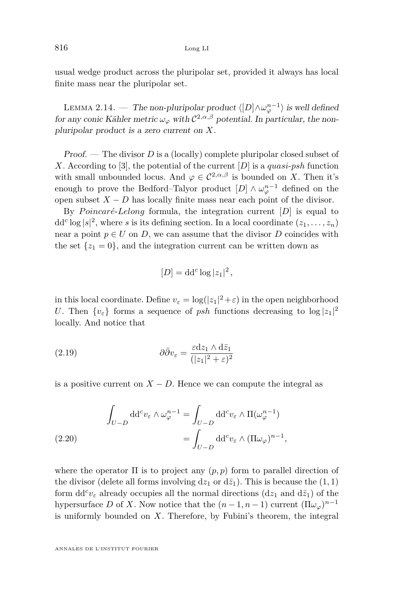usual wedge product across the pluripolar set, provided it always has local finite mass near the pluripolar set.

<span id="page-12-1"></span>LEMMA 2.14. — The non-pluripolar product  $\langle [D] \wedge \omega_{\varphi}^{n-1} \rangle$  is well defined for any conic Kähler metric  $\omega_{\varphi}$  with  $C^{2,\alpha,\beta}$  potential. In particular, the nonpluripolar product is a zero current on *X*.

Proof. — The divisor *D* is a (locally) complete pluripolar closed subset of *X*. According to [\[3\]](#page-40-3), the potential of the current [*D*] is a *quasi*-*psh* function with small unbounded locus. And  $\varphi \in C^{2,\alpha,\beta}$  is bounded on *X*. Then it's enough to prove the Bedford–Talyor product  $[D] \wedge \omega_{\varphi}^{n-1}$  defined on the open subset  $X - D$  has locally finite mass near each point of the divisor.

By *Poincaré-Lelong* formula, the integration current  $[D]$  is equal to  $dd^c \log |s|^2$ , where *s* is its defining section. In a local coordinate  $(z_1, \ldots, z_n)$ near a point  $p \in U$  on *D*, we can assume that the divisor *D* coincides with the set  $\{z_1 = 0\}$ , and the integration current can be written down as

$$
[D] = \mathrm{dd}^c \log |z_1|^2,
$$

in this local coordinate. Define  $v_{\varepsilon} = \log(|z_1|^2 + \varepsilon)$  in the open neighborhood *U*. Then  $\{v_{\varepsilon}\}\)$  forms a sequence of *psh* functions decreasing to  $\log |z_1|^2$ locally. And notice that

(2.19) 
$$
\partial \bar{\partial} v_{\varepsilon} = \frac{\varepsilon dz_1 \wedge d\bar{z}_1}{(|z_1|^2 + \varepsilon)^2}
$$

is a positive current on  $X - D$ . Hence we can compute the integral as

<span id="page-12-0"></span>(2.20) 
$$
\int_{U-D} dd^c v_{\varepsilon} \wedge \omega_{\varphi}^{n-1} = \int_{U-D} dd^c v_{\varepsilon} \wedge \Pi(\omega_{\varphi}^{n-1})
$$

$$
= \int_{U-D} dd^c v_{\varepsilon} \wedge (\Pi \omega_{\varphi})^{n-1},
$$

where the operator  $\Pi$  is to project any  $(p, p)$  form to parallel direction of the divisor (delete all forms involving  $dz_1$  or  $d\bar{z}_1$ ). This is because the  $(1, 1)$ form  $dd^c v_{\varepsilon}$  already occupies all the normal directions  $(dz_1 \text{ and } d\bar{z}_1)$  of the hypersurface *D* of *X*. Now notice that the  $(n-1, n-1)$  current  $(\Pi \omega_{\varphi})^{n-1}$ is uniformly bounded on *X*. Therefore, by Fubini's theorem, the integral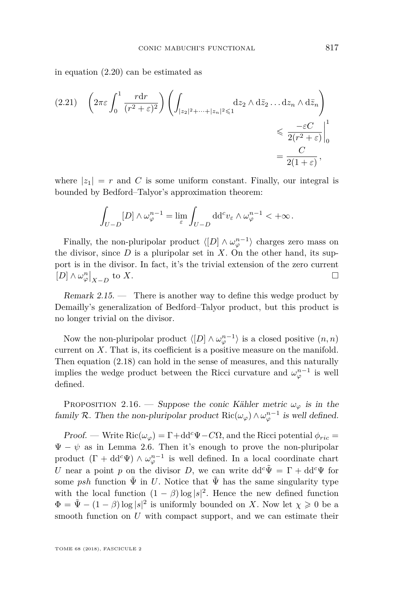in equation [\(2.20\)](#page-12-0) can be estimated as

$$
(2.21) \quad \left(2\pi\varepsilon \int_0^1 \frac{r \mathrm{d}r}{(r^2 + \varepsilon)^2} \right) \left( \int_{|z_2|^2 + \dots + |z_n|^2 \leqslant 1} \mathrm{d}z_2 \wedge \mathrm{d}\bar{z}_2 \dots \mathrm{d}z_n \wedge \mathrm{d}\bar{z}_n \right) \leqslant \frac{-\varepsilon C}{2(r^2 + \varepsilon)} \Big|_0^1 = \frac{C}{2(1 + \varepsilon)},
$$

where  $|z_1| = r$  and C is some uniform constant. Finally, our integral is bounded by Bedford–Talyor's approximation theorem:

$$
\int_{U-D} [D] \wedge \omega_{\varphi}^{n-1} = \lim_{\varepsilon} \int_{U-D} \mathrm{d} \mathrm{d}^c v_{\varepsilon} \wedge \omega_{\varphi}^{n-1} < +\infty \, .
$$

Finally, the non-pluripolar product  $\langle [D] \wedge \omega_{\varphi}^{n-1} \rangle$  charges zero mass on the divisor, since *D* is a pluripolar set in *X*. On the other hand, its support is in the divisor. In fact, it's the trivial extension of the zero current  $[D] \wedge \omega_{\varphi}^{n}|_{X-D}$ to  $X$ .

Remark 2.15. — There is another way to define this wedge product by Demailly's generalization of Bedford–Talyor product, but this product is no longer trivial on the divisor.

Now the non-pluripolar product  $\langle [D] \wedge \omega_{\varphi}^{n-1} \rangle$  is a closed positive  $(n, n)$ current on *X*. That is, its coefficient is a positive measure on the manifold. Then equation [\(2.18\)](#page-11-1) can hold in the sense of measures, and this naturally implies the wedge product between the Ricci curvature and  $\omega_{\varphi}^{n-1}$  is well defined.

PROPOSITION 2.16. — Suppose the conic Kähler metric  $\omega_{\varphi}$  is in the family R. Then the non-pluripolar product  $\text{Ric}(\omega_{\varphi}) \wedge \omega_{\varphi}^{n-1}$  is well defined.

Proof. — Write  $\text{Ric}(\omega_{\varphi}) = \Gamma + \text{dd}^c \Psi - C\Omega$ , and the Ricci potential  $\phi_{ric} =$  $\Psi - \psi$  as in Lemma [2.6.](#page-7-0) Then it's enough to prove the non-pluripolar product  $(\Gamma + dd^c \Psi) \wedge \omega_{\varphi}^{n-1}$  is well defined. In a local coordinate chart *U* near a point *p* on the divisor *D*, we can write  $dd^c \Psi = \Gamma + dd^c \Psi$  for some *psh* function  $\tilde{\Psi}$  in *U*. Notice that  $\tilde{\Psi}$  has the same singularity type with the local function  $(1 - \beta) \log |s|^2$ . Hence the new defined function  $\Phi = \tilde{\Psi} - (1 - \beta) \log |s|^2$  is uniformly bounded on *X*. Now let  $\chi \geqslant 0$  be a smooth function on *U* with compact support, and we can estimate their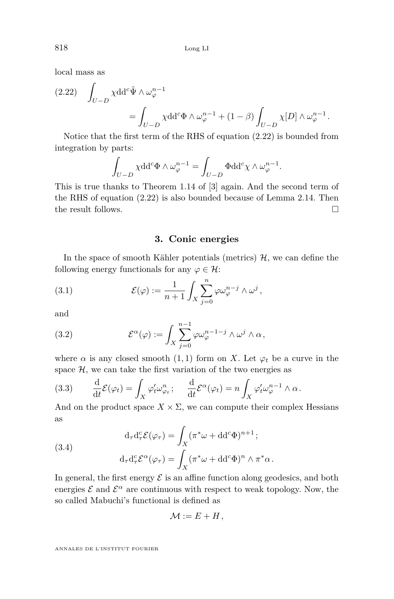local mass as

<span id="page-14-1"></span>
$$
(2.22) \quad \int_{U-D} \chi \mathrm{d} \mathrm{d}^c \tilde{\Psi} \wedge \omega_{\varphi}^{n-1} = \int_{U-D} \chi \mathrm{d} \mathrm{d}^c \Phi \wedge \omega_{\varphi}^{n-1} + (1-\beta) \int_{U-D} \chi[D] \wedge \omega_{\varphi}^{n-1}.
$$

Notice that the first term of the RHS of equation [\(2.22\)](#page-14-1) is bounded from integration by parts:

$$
\int_{U-D} \chi \mathrm{d} \mathrm{d}^c \Phi \wedge \omega_{\varphi}^{n-1} = \int_{U-D} \Phi \mathrm{d} \mathrm{d}^c \chi \wedge \omega_{\varphi}^{n-1}.
$$

This is true thanks to Theorem 1.14 of [\[3\]](#page-40-3) again. And the second term of the RHS of equation [\(2.22\)](#page-14-1) is also bounded because of Lemma [2.14.](#page-12-1) Then the result follows.

**3. Conic energies**

<span id="page-14-0"></span>In the space of smooth Kähler potentials (metrics)  $H$ , we can define the following energy functionals for any  $\varphi \in \mathcal{H}$ :

(3.1) 
$$
\mathcal{E}(\varphi) := \frac{1}{n+1} \int_X \sum_{j=0}^n \varphi \omega_{\varphi}^{n-j} \wedge \omega^j,
$$

and

(3.2) 
$$
\mathcal{E}^{\alpha}(\varphi) := \int_{X} \sum_{j=0}^{n-1} \varphi \omega_{\varphi}^{n-1-j} \wedge \omega^{j} \wedge \alpha,
$$

where  $\alpha$  is any closed smooth (1, 1) form on *X*. Let  $\varphi_t$  be a curve in the space  $H$ , we can take the first variation of the two energies as

<span id="page-14-2"></span>(3.3) 
$$
\frac{\mathrm{d}}{\mathrm{d}t} \mathcal{E}(\varphi_t) = \int_X \varphi_t' \omega_{\varphi_t}^n; \quad \frac{\mathrm{d}}{\mathrm{d}t} \mathcal{E}^{\alpha}(\varphi_t) = n \int_X \varphi_t' \omega_{\varphi}^{n-1} \wedge \alpha.
$$

And on the product space  $X \times \Sigma$ , we can compute their complex Hessians as

<span id="page-14-3"></span>(3.4)  
\n
$$
d_{\tau}d_{\tau}^{c}\mathcal{E}(\varphi_{\tau}) = \int_{X} (\pi^{*}\omega + dd^{c}\Phi)^{n+1};
$$
\n
$$
d_{\tau}d_{\tau}^{c}\mathcal{E}^{\alpha}(\varphi_{\tau}) = \int_{X} (\pi^{*}\omega + dd^{c}\Phi)^{n} \wedge \pi^{*}\alpha.
$$

In general, the first energy  $\mathcal E$  is an affine function along geodesics, and both energies  $\mathcal E$  and  $\mathcal E^{\alpha}$  are continuous with respect to weak topology. Now, the so called Mabuchi's functional is defined as

$$
\mathcal{M} := E + H,
$$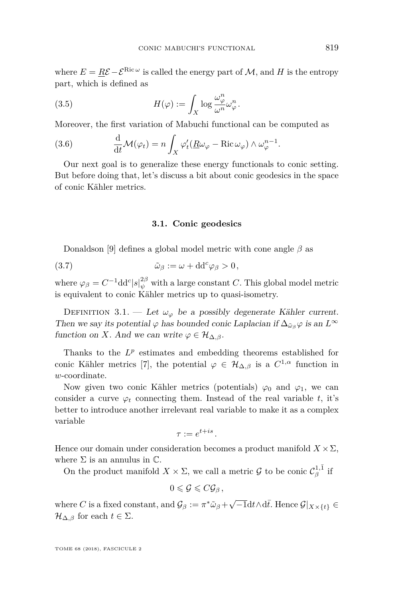where  $E = R\mathcal{E} - \mathcal{E}^{\text{Ric}\,\omega}$  is called the energy part of  $\mathcal{M}$ , and  $H$  is the entropy part, which is defined as

(3.5) 
$$
H(\varphi) := \int_X \log \frac{\omega_{\varphi}^n}{\omega^n} \omega_{\varphi}^n.
$$

Moreover, the first variation of Mabuchi functional can be computed as

(3.6) 
$$
\frac{\mathrm{d}}{\mathrm{d}t} \mathcal{M}(\varphi_t) = n \int_X \varphi'_t(\underline{R}\omega_{\varphi} - \text{Ric}\,\omega_{\varphi}) \wedge \omega_{\varphi}^{n-1}.
$$

Our next goal is to generalize these energy functionals to conic setting. But before doing that, let's discuss a bit about conic geodesics in the space of conic Kähler metrics.

#### <span id="page-15-0"></span>**3.1. Conic geodesics**

Donaldson [\[9\]](#page-40-8) defines a global model metric with cone angle *β* as

(3.7) 
$$
\tilde{\omega}_{\beta} := \omega + dd^c \varphi_{\beta} > 0,
$$

where  $\varphi_{\beta} = C^{-1} \text{d} \text{d}^c |s|_{\psi}^{2\beta}$  with a large constant *C*. This global model metric is equivalent to conic Kähler metrics up to quasi-isometry.

DEFINITION 3.1. — Let  $\omega_{\varphi}$  be a possibly degenerate Kähler current. Then we say its potential  $\varphi$  has bounded conic Laplacian if  $\Delta_{\tilde{\omega}_{\beta}}\varphi$  is an  $L^{\infty}$ function on *X*. And we can write  $\varphi \in \mathcal{H}_{\Delta,\beta}$ .

Thanks to the  $L^p$  estimates and embedding theorems established for conic Kähler metrics [\[7\]](#page-40-9), the potential  $\varphi \in \mathcal{H}_{\Delta,\beta}$  is a  $C^{1,\alpha}$  function in *w*-coordinate.

Now given two conic Kähler metrics (potentials)  $\varphi_0$  and  $\varphi_1$ , we can consider a curve  $\varphi_t$  connecting them. Instead of the real variable *t*, it's better to introduce another irrelevant real variable to make it as a complex variable

$$
\tau := e^{t+is}.
$$

Hence our domain under consideration becomes a product manifold  $X \times \Sigma$ , where  $\Sigma$  is an annulus in  $\mathbb{C}$ .

On the product manifold  $X \times \Sigma$ , we call a metric  $\mathcal{G}$  to be conic  $\mathcal{C}^{1,\bar{1}}_{\beta}$  if

$$
0\leqslant \mathcal{G}\leqslant C\mathcal{G}_{\beta}\,,
$$

where *C* is a fixed constant, and  $\mathcal{G}_{\beta} := \pi^* \tilde{\omega}_{\beta} + \sqrt{-1} dt \wedge d\bar{t}$ . Hence  $\mathcal{G}|_{X \times \{t\}} \in$  $\mathcal{H}_{\Delta,\beta}$  for each  $t \in \Sigma$ .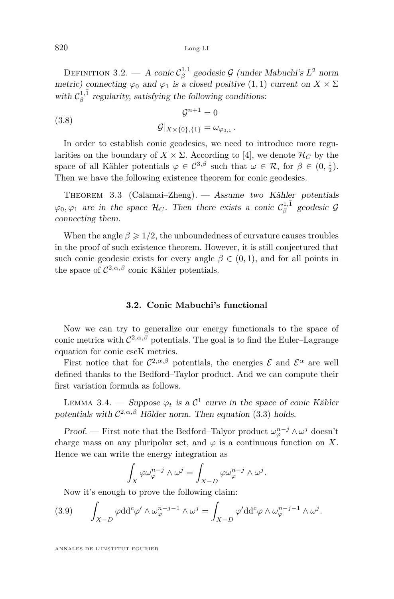DEFINITION 3.2. — A conic  $\mathcal{C}_\beta^{1,\bar{1}}$  geodesic  $\mathcal G$  (under Mabuchi's  $L^2$  norm metric) connecting  $\varphi_0$  and  $\varphi_1$  is a closed positive  $(1,1)$  current on  $X \times \Sigma$ with  $C_{\beta}^{1,\bar{1}}$  regularity, satisfying the following conditions:

(3.8) 
$$
\mathcal{G}|_{X \times \{0\},\{1\}} = \omega_{\varphi_{0,1}}.
$$

In order to establish conic geodesics, we need to introduce more regularities on the boundary of  $X \times \Sigma$ . According to [\[4\]](#page-40-7), we denote  $\mathcal{H}_C$  by the space of all Kähler potentials  $\varphi \in C^{3,\beta}$  such that  $\omega \in \mathcal{R}$ , for  $\beta \in (0, \frac{1}{2})$ . Then we have the following existence theorem for conic geodesics.

THEOREM 3.3 (Calamai–Zheng). — Assume two Kähler potentials  $\varphi_0, \varphi_1$  are in the space  $\mathcal{H}_C$ . Then there exists a conic  $\mathcal{C}^{1,\bar{1}}_\beta$  geodesic  $\mathcal{G}$ connecting them.

When the angle  $\beta \geq 1/2$ , the unboundedness of curvature causes troubles in the proof of such existence theorem. However, it is still conjectured that such conic geodesic exists for every angle  $\beta \in (0,1)$ , and for all points in the space of  $C^{2,\alpha,\beta}$  conic Kähler potentials.

#### **3.2. Conic Mabuchi's functional**

Now we can try to generalize our energy functionals to the space of conic metrics with  $C^{2,\alpha,\beta}$  potentials. The goal is to find the Euler–Lagrange equation for conic cscK metrics.

First notice that for  $\mathcal{C}^{2,\alpha,\beta}$  potentials, the energies  $\mathcal E$  and  $\mathcal E^{\alpha}$  are well defined thanks to the Bedford–Taylor product. And we can compute their first variation formula as follows.

<span id="page-16-1"></span>LEMMA 3.4. — Suppose  $\varphi_t$  is a  $\mathcal{C}^1$  curve in the space of conic Kähler potentials with  $C^{2,\alpha,\beta}$  Hölder norm. Then equation [\(3.3\)](#page-14-2) holds.

Proof. — First note that the Bedford–Talyor product  $\omega_{\varphi}^{n-j} \wedge \omega^j$  doesn't charge mass on any pluripolar set, and  $\varphi$  is a continuous function on X. Hence we can write the energy integration as

$$
\int_X \varphi \omega_{\varphi}^{n-j} \wedge \omega^j = \int_{X-D} \varphi \omega_{\varphi}^{n-j} \wedge \omega^j.
$$

<span id="page-16-0"></span>Now it's enough to prove the following claim:

(3.9) 
$$
\int_{X-D} \varphi dd^c \varphi' \wedge \omega_{\varphi}^{n-j-1} \wedge \omega^j = \int_{X-D} \varphi' dd^c \varphi \wedge \omega_{\varphi}^{n-j-1} \wedge \omega^j.
$$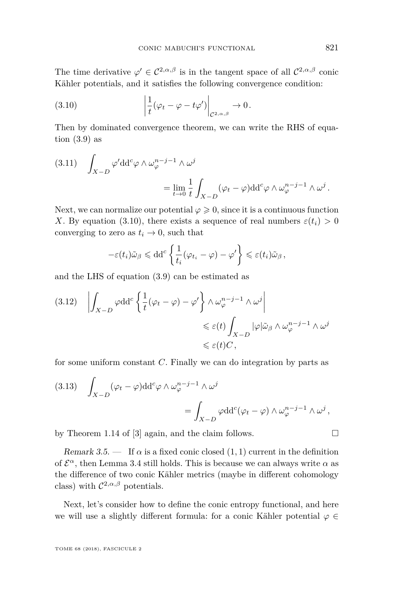The time derivative  $\varphi' \in C^{2,\alpha,\beta}$  is in the tangent space of all  $C^{2,\alpha,\beta}$  conic Kähler potentials, and it satisfies the following convergence condition:

<span id="page-17-0"></span>(3.10) 
$$
\left|\frac{1}{t}(\varphi_t-\varphi-t\varphi')\right|_{\mathcal{C}^{2,\alpha,\beta}}\to 0.
$$

Then by dominated convergence theorem, we can write the RHS of equation  $(3.9)$  as

(3.11) 
$$
\int_{X-D} \varphi' dd^c \varphi \wedge \omega_{\varphi}^{n-j-1} \wedge \omega^j = \lim_{t \to 0} \frac{1}{t} \int_{X-D} (\varphi_t - \varphi) dd^c \varphi \wedge \omega_{\varphi}^{n-j-1} \wedge \omega^j.
$$

Next, we can normalize our potential  $\varphi \geqslant 0$ , since it is a continuous function *X*. By equation [\(3.10\)](#page-17-0), there exists a sequence of real numbers  $\varepsilon(t_i) > 0$ converging to zero as  $t_i \rightarrow 0$ , such that

$$
-\varepsilon(t_i)\tilde{\omega}_{\beta} \leq \mathrm{dd}^c \left\{ \frac{1}{t_i} (\varphi_{t_i} - \varphi) - \varphi' \right\} \leq \varepsilon(t_i)\tilde{\omega}_{\beta},
$$

and the LHS of equation [\(3.9\)](#page-16-0) can be estimated as

$$
(3.12) \quad \left| \int_{X-D} \varphi \mathrm{d} \mathrm{d}^c \left\{ \frac{1}{t} (\varphi_t - \varphi) - \varphi' \right\} \wedge \omega_{\varphi}^{n-j-1} \wedge \omega^j \right|
$$
  

$$
\leq \varepsilon(t) \int_{X-D} |\varphi| \tilde{\omega}_{\beta} \wedge \omega_{\varphi}^{n-j-1} \wedge \omega^j
$$
  

$$
\leq \varepsilon(t) C,
$$

for some uniform constant *C*. Finally we can do integration by parts as

(3.13) 
$$
\int_{X-D} (\varphi_t - \varphi) dd^c \varphi \wedge \omega_{\varphi}^{n-j-1} \wedge \omega^j = \int_{X-D} \varphi dd^c (\varphi_t - \varphi) \wedge \omega_{\varphi}^{n-j-1} \wedge \omega^j,
$$

by Theorem 1.14 of [\[3\]](#page-40-3) again, and the claim follows.  $\square$ 

Remark 3.5.  $\qquad$  If  $\alpha$  is a fixed conic closed (1, 1) current in the definition of  $\mathcal{E}^{\alpha}$ , then Lemma [3.4](#page-16-1) still holds. This is because we can always write  $\alpha$  as the difference of two conic Kähler metrics (maybe in different cohomology class) with  $\mathcal{C}^{2,\alpha,\beta}$  potentials.

Next, let's consider how to define the conic entropy functional, and here we will use a slightly different formula: for a conic Kähler potential  $\varphi \in$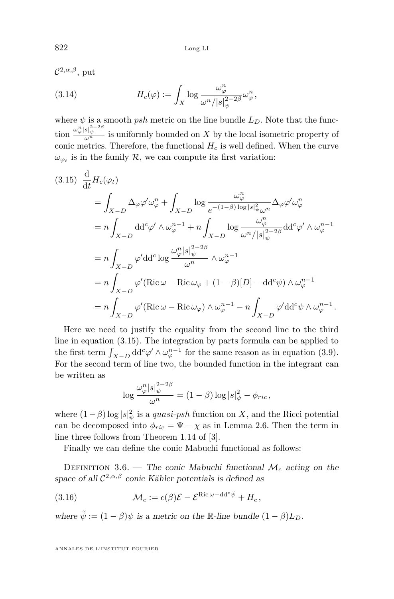822 Long LI

C <sup>2</sup>*,α,β*, put (3.14)  $H_c(\varphi) := \int_X$  $\log \frac{\omega_{\varphi}^n}{\omega_{\varphi}^n}$  $\omega^n/|s|_\psi^{2-2\beta}$  $\omega_\varphi^n$  ,

where  $\psi$  is a smooth *psh* metric on the line bundle  $L<sub>D</sub>$ . Note that the function  $\frac{\omega_{\varphi}^n |s|_{\psi}^{2-2\beta}}{\omega^n}$  is uniformly bounded on *X* by the local isometric property of conic metrics. Therefore, the functional  $H_c$  is well defined. When the curve  $\omega_{\varphi_t}$  is in the family  $\mathcal{R}$ , we can compute its first variation:

<span id="page-18-0"></span>
$$
(3.15) \frac{d}{dt} H_c(\varphi_t)
$$
  
=  $\int_{X-D} \Delta_{\varphi} \varphi' \omega_{\varphi}^n + \int_{X-D} \log \frac{\omega_{\varphi}^n}{e^{-(1-\beta)\log|s|_{\psi}^2 \omega^n}} \Delta_{\varphi} \varphi' \omega_{\varphi}^n$   
=  $n \int_{X-D} dd^c \varphi' \wedge \omega_{\varphi}^{n-1} + n \int_{X-D} \log \frac{\omega_{\varphi}^n}{\omega^n/|s|_{\psi}^2} d d^c \varphi' \wedge \omega_{\varphi}^{n-1}$   
=  $n \int_{X-D} \varphi' dd^c \log \frac{\omega_{\varphi}^n |s|_{\psi}^{2-2\beta}}{\omega^n} \wedge \omega_{\varphi}^{n-1}$   
=  $n \int_{X-D} \varphi' (\text{Ric } \omega - \text{Ric } \omega_{\varphi} + (1-\beta)[D] - dd^c \psi) \wedge \omega_{\varphi}^{n-1}$   
=  $n \int_{X-D} \varphi' (\text{Ric } \omega - \text{Ric } \omega_{\varphi}) \wedge \omega_{\varphi}^{n-1} - n \int_{X-D} \varphi' dd^c \psi \wedge \omega_{\varphi}^{n-1}.$ 

Here we need to justify the equality from the second line to the third line in equation [\(3.15\)](#page-18-0). The integration by parts formula can be applied to the first term  $\int_{X-D} dd^c \varphi' \wedge \omega_{\varphi}^{n-1}$  for the same reason as in equation [\(3.9\)](#page-16-0). For the second term of line two, the bounded function in the integrant can be written as

$$
\log \frac{\omega_{\varphi}^n |s|_{\psi}^{2-2\beta}}{\omega^n} = (1-\beta) \log |s|_{\psi}^2 - \phi_{ric},
$$

where  $(1 - \beta) \log |s|_{\psi}^2$  is a *quasi-psh* function on *X*, and the Ricci potential can be decomposed into  $\phi_{ric} = \Psi - \chi$  as in Lemma [2.6.](#page-7-0) Then the term in line three follows from Theorem 1.14 of [\[3\]](#page-40-3).

Finally we can define the conic Mabuchi functional as follows:

DEFINITION 3.6. — The conic Mabuchi functional  $\mathcal{M}_c$  acting on the space of all  $\mathcal{C}^{2,\alpha,\beta}$  conic Kähler potentials is defined as

(3.16) 
$$
\mathcal{M}_c := c(\beta)\mathcal{E} - \mathcal{E}^{\text{Ric}\,\omega - dd^c\tilde{\psi}} + H_c,
$$

where  $\tilde{\psi} := (1 - \beta)\psi$  is a metric on the R-line bundle  $(1 - \beta)L_D$ .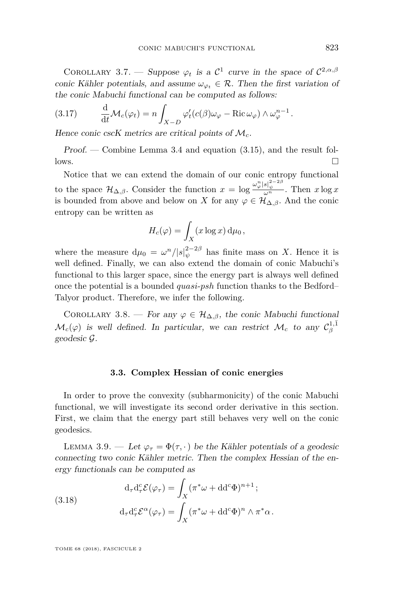COROLLARY 3.7. — Suppose  $\varphi_t$  is a  $\mathcal{C}^1$  curve in the space of  $\mathcal{C}^{2,\alpha,\beta}$ conic Kähler potentials, and assume  $\omega_{\varphi} \in \mathcal{R}$ . Then the first variation of the conic Mabuchi functional can be computed as follows:

(3.17) 
$$
\frac{\mathrm{d}}{\mathrm{d}t} \mathcal{M}_c(\varphi_t) = n \int_{X-D} \varphi'_t(c(\beta)\omega_{\varphi} - \text{Ric}\,\omega_{\varphi}) \wedge \omega_{\varphi}^{n-1}.
$$

Hence conic cscK metrics are critical points of M*c*.

Proof. — Combine Lemma [3.4](#page-16-1) and equation [\(3.15\)](#page-18-0), and the result fol- $\Box$ 

Notice that we can extend the domain of our conic entropy functional to the space  $\mathcal{H}_{\Delta,\beta}$ . Consider the function  $x = \log \frac{\omega_{\varphi}^n |s|_{\psi}^{2-2\beta}}{\omega^n}$ . Then  $x \log x$ is bounded from above and below on *X* for any  $\varphi \in \mathcal{H}_{\Delta,\beta}$ . And the conic entropy can be written as

$$
H_c(\varphi) = \int_X (x \log x) \, \mathrm{d}\mu_0,
$$

where the measure  $d\mu_0 = \omega^n/|s|_{\psi}^{2-2\beta}$  has finite mass on *X*. Hence it is well defined. Finally, we can also extend the domain of conic Mabuchi's functional to this larger space, since the energy part is always well defined once the potential is a bounded *quasi*-*psh* function thanks to the Bedford– Talyor product. Therefore, we infer the following.

COROLLARY 3.8. — For any  $\varphi \in \mathcal{H}_{\Delta,\beta}$ , the conic Mabuchi functional  $\mathcal{M}_c(\varphi)$  is well defined. In particular, we can restrict  $\mathcal{M}_c$  to any  $\mathcal{C}^{1,\bar{1}}_\beta$ geodesic G.

#### **3.3. Complex Hessian of conic energies**

In order to prove the convexity (subharmonicity) of the conic Mabuchi functional, we will investigate its second order derivative in this section. First, we claim that the energy part still behaves very well on the conic geodesics.

LEMMA 3.9. — Let  $\varphi_{\tau} = \Phi(\tau, \cdot)$  be the Kähler potentials of a geodesic connecting two conic Kähler metric. Then the complex Hessian of the energy functionals can be computed as

(3.18)  
\n
$$
d_{\tau}d_{\tau}^{c}\mathcal{E}(\varphi_{\tau}) = \int_{X} (\pi^{*}\omega + dd^{c}\Phi)^{n+1};
$$
\n
$$
d_{\tau}d_{\tau}^{c}\mathcal{E}^{\alpha}(\varphi_{\tau}) = \int_{X} (\pi^{*}\omega + dd^{c}\Phi)^{n} \wedge \pi^{*}\alpha.
$$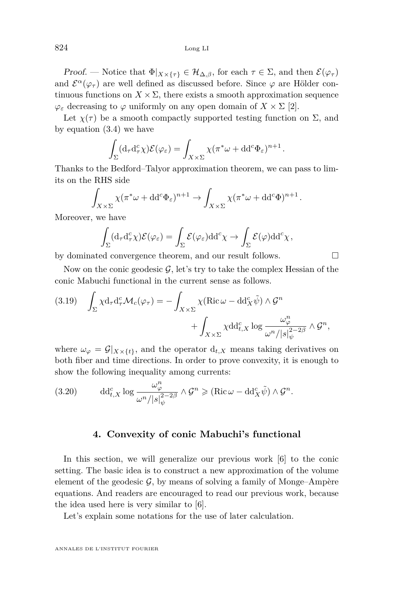Proof. — Notice that  $\Phi|_{X\times {\{\tau\}}} \in {\mathcal{H}}_{{\Delta},\beta}$ , for each  $\tau \in \Sigma$ , and then  ${\mathcal{E}}(\varphi_{\tau})$ and  $\mathcal{E}^{\alpha}(\varphi_{\tau})$  are well defined as discussed before. Since  $\varphi$  are Hölder continuous functions on  $X \times \Sigma$ , there exists a smooth approximation sequence  $\varphi$ <sub>*ε*</sub> decreasing to  $\varphi$  uniformly on any open domain of  $X \times \Sigma$  [\[2\]](#page-40-6).

Let  $\chi(\tau)$  be a smooth compactly supported testing function on  $\Sigma$ , and by equation [\(3.4\)](#page-14-3) we have

$$
\int_{\Sigma} (\mathrm{d}_{\tau} \mathrm{d}_{\tau}^c \chi) \mathcal{E}(\varphi_{\varepsilon}) = \int_{X \times \Sigma} \chi(\pi^* \omega + \mathrm{d} \mathrm{d}^c \Phi_{\varepsilon})^{n+1}.
$$

Thanks to the Bedford–Talyor approximation theorem, we can pass to limits on the RHS side

$$
\int_{X \times \Sigma} \chi(\pi^* \omega + dd^c \Phi_{\varepsilon})^{n+1} \to \int_{X \times \Sigma} \chi(\pi^* \omega + dd^c \Phi)^{n+1}.
$$

Moreover, we have

$$
\int_{\Sigma} (\mathrm{d}_{\tau} \mathrm{d}_{\tau}^c \chi) \mathcal{E}(\varphi_{\varepsilon}) = \int_{\Sigma} \mathcal{E}(\varphi_{\varepsilon}) \mathrm{d} \mathrm{d}^c \chi \to \int_{\Sigma} \mathcal{E}(\varphi) \mathrm{d} \mathrm{d}^c \chi,
$$

by dominated convergence theorem, and our result follows.  $\Box$ 

Now on the conic geodesic  $\mathcal{G}$ , let's try to take the complex Hessian of the conic Mabuchi functional in the current sense as follows.

(3.19) 
$$
\int_{\Sigma} \chi d_{\tau} d_{\tau}^{c} \mathcal{M}_{c}(\varphi_{\tau}) = - \int_{X \times \Sigma} \chi(\mathrm{Ric} \,\omega - \mathrm{d} \mathrm{d}_{X}^{c} \tilde{\psi}) \wedge \mathcal{G}^{n} + \int_{X \times \Sigma} \chi \mathrm{d} \mathrm{d}_{t,X}^{c} \log \frac{\omega_{\varphi}^{n}}{\omega^{n} / |s|_{\psi}^{2 - 2\beta}} \wedge \mathcal{G}^{n},
$$

where  $\omega_{\varphi} = \mathcal{G}|_{X \times \{t\}},$  and the operator  $d_{t,X}$  means taking derivatives on both fiber and time directions. In order to prove convexity, it is enough to show the following inequality among currents:

(3.20) 
$$
\mathrm{dd}_{t,X}^c \log \frac{\omega_{\varphi}^n}{\omega^n/|s|_{\psi}^{2-2\beta}} \wedge \mathcal{G}^n \geq (\mathrm{Ric} \,\omega - \mathrm{dd}_X^c \tilde{\psi}) \wedge \mathcal{G}^n.
$$

#### **4. Convexity of conic Mabuchi's functional**

<span id="page-20-0"></span>In this section, we will generalize our previous work [\[6\]](#page-40-2) to the conic setting. The basic idea is to construct a new approximation of the volume element of the geodesic  $\mathcal{G}$ , by means of solving a family of Monge–Ampère equations. And readers are encouraged to read our previous work, because the idea used here is very similar to [\[6\]](#page-40-2).

Let's explain some notations for the use of later calculation.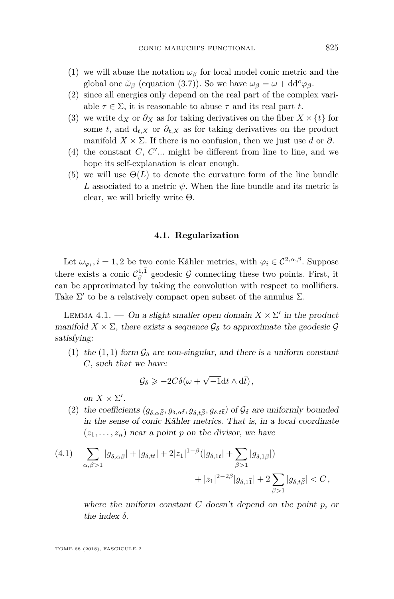- (1) we will abuse the notation  $\omega_{\beta}$  for local model conic metric and the global one  $\tilde{\omega}_{\beta}$  (equation [\(3.7\)](#page-15-0)). So we have  $\omega_{\beta} = \omega + dd^c \varphi_{\beta}$ .
- (2) since all energies only depend on the real part of the complex variable  $\tau \in \Sigma$ , it is reasonable to abuse  $\tau$  and its real part *t*.
- (3) we write  $d_X$  or  $\partial_X$  as for taking derivatives on the fiber  $X \times \{t\}$  for some *t*, and  $d_{t,X}$  or  $\partial_{t,X}$  as for taking derivatives on the product manifold  $X \times \Sigma$ . If there is no confusion, then we just use *d* or  $\partial$ .
- $(4)$  the constant *C*, *C'*... might be different from line to line, and we hope its self-explanation is clear enough.
- (5) we will use  $\Theta(L)$  to denote the curvature form of the line bundle *L* associated to a metric  $\psi$ . When the line bundle and its metric is clear, we will briefly write  $\Theta$ .

#### **4.1. Regularization**

Let  $\omega_{\varphi_i}, i = 1, 2$  be two conic Kähler metrics, with  $\varphi_i \in C^{2,\alpha,\beta}$ . Suppose there exists a conic  $\mathcal{C}_{\beta}^{1,\bar{1}}$  geodesic  $\mathcal G$  connecting these two points. First, it can be approximated by taking the convolution with respect to mollifiers. Take  $\Sigma'$  to be a relatively compact open subset of the annulus  $\Sigma$ .

<span id="page-21-1"></span>LEMMA 4.1. — On a slight smaller open domain  $X \times \Sigma'$  in the product manifold  $X \times \Sigma$ , there exists a sequence  $\mathcal{G}_{\delta}$  to approximate the geodesic  $\mathcal{G}$ satisfying:

(1) the (1, 1) form  $\mathcal{G}_{\delta}$  are non-singular, and there is a uniform constant *C*, such that we have:

$$
\mathcal{G}_{\delta} \geqslant -2C\delta(\omega + \sqrt{-1} dt \wedge d\bar{t}),
$$

on  $X \times \Sigma'$ .

<span id="page-21-0"></span>(2) the coefficients  $(g_{\delta,\alpha\bar{\beta}}, g_{\delta,\alpha\bar{t}}, g_{\delta,t\bar{\beta}}, g_{\delta,t\bar{t}})$  of  $\mathcal{G}_{\delta}$  are uniformly bounded in the sense of conic Kähler metrics. That is, in a local coordinate  $(z_1, \ldots, z_n)$  near a point p on the divisor, we have

(4.1) 
$$
\sum_{\alpha,\beta>1} |g_{\delta,\alpha\bar{\beta}}| + |g_{\delta,t\bar{t}}| + 2|z_1|^{1-\beta} (|g_{\delta,1\bar{t}}| + \sum_{\beta>1} |g_{\delta,1\bar{\beta}}|) + |z_1|^{2-2\beta} |g_{\delta,1\bar{1}}| + 2 \sum_{\beta>1} |g_{\delta,t\bar{\beta}}| < C,
$$

where the uniform constant *C* doesn't depend on the point *p*, or the index *δ*.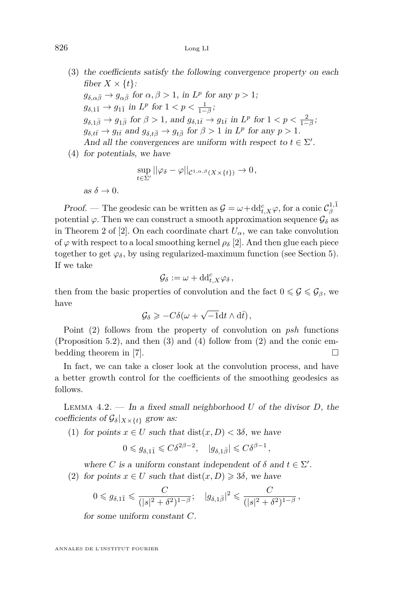- <span id="page-22-0"></span>(3) the coefficients satisfy the following convergence property on each fiber  $X \times \{t\}$ :  $g_{\delta,\alpha\bar{\beta}} \to g_{\alpha\bar{\beta}}$  for  $\alpha, \beta > 1$ , in  $L^p$  for any  $p > 1$ ;  $g_{\delta,1\bar{1}} \to g_{1\bar{1}}$  in  $L^p$  for  $1 < p < \frac{1}{1-\beta}$ ;  $g_{\delta,1\bar{\beta}} \to g_{1\bar{\beta}}$  for  $\beta > 1$ , and  $g_{\delta,1\bar{t}} \to g_{1\bar{t}}$  in  $L^p$  for  $1 < p < \frac{2}{1-\beta}$ ;  $g_{\delta,t\bar{t}} \to g_{t\bar{t}}$  and  $g_{\delta,t\bar{\beta}} \to g_{t\bar{\beta}}$  for  $\beta > 1$  in  $L^p$  for any  $p > 1$ . And all the convergences are uniform with respect to  $t \in \Sigma'$ .
- <span id="page-22-1"></span>(4) for potentials, we have

$$
\sup_{t\in\Sigma'}||\varphi_{\delta}-\varphi||_{\mathcal{C}^{1,\alpha,\beta}(X\times\{t\})}\to 0,
$$

as  $\delta \to 0$ .

Proof. — The geodesic can be written as  $\mathcal{G} = \omega + dd_{t,X}^c \varphi$ , for a conic  $\mathcal{C}^{1,\bar{1}}_\beta$ potential  $\varphi$ . Then we can construct a smooth approximation sequence  $\mathcal{G}_{\delta}$  as in Theorem 2 of [\[2\]](#page-40-6). On each coordinate chart  $U_{\alpha}$ , we can take convolution of  $\varphi$  with respect to a local smoothing kernel  $\rho_{\delta}$  [\[2\]](#page-40-6). And then glue each piece together to get  $\varphi_{\delta}$ , by using regularized-maximum function (see Section [5\)](#page-35-0). If we take

$$
\mathcal{G}_{\delta} := \omega + \mathrm{dd}^{c}_{t,X} \varphi_{\delta},
$$

then from the basic properties of convolution and the fact  $0 \leq \mathcal{G} \leq \mathcal{G}_{\beta}$ , we have √

$$
\mathcal{G}_{\delta} \geqslant -C\delta(\omega + \sqrt{-1} dt \wedge d\bar{t}),
$$

Point [\(2\)](#page-21-0) follows from the property of convolution on *psh* functions (Proposition [5.2\)](#page-38-0), and then [\(3\)](#page-22-0) and [\(4\)](#page-22-1) follow from [\(2\)](#page-21-0) and the conic em-bedding theorem in [\[7\]](#page-40-9).  $\Box$ 

In fact, we can take a closer look at the convolution process, and have a better growth control for the coefficients of the smoothing geodesics as follows.

<span id="page-22-2"></span>Lemma 4.2. — In a fixed small neighborhood *U* of the divisor *D*, the coefficients of  $\mathcal{G}_{\delta}|_{X\times\{t\}}$  grow as:

(1) for points  $x \in U$  such that  $dist(x, D) < 3\delta$ , we have

$$
0\leqslant g_{\delta,1\bar{1}}\leqslant C\delta^{2\beta-2},\quad |g_{\delta,1\bar{\beta}}|\leqslant C\delta^{\beta-1}\,,
$$

<span id="page-22-3"></span>where *C* is a uniform constant independent of  $\delta$  and  $t \in \Sigma'$ . (2) for points  $x \in U$  such that  $dist(x, D) \geq 3\delta$ , we have

$$
0\leqslant g_{\delta,1\bar{1}}\leqslant \frac{C}{(|s|^2+\delta^2)^{1-\beta}};\quad |g_{\delta,1\bar{\beta}}|^2\leqslant \frac{C}{(|s|^2+\delta^2)^{1-\beta}}\,,
$$

for some uniform constant *C*.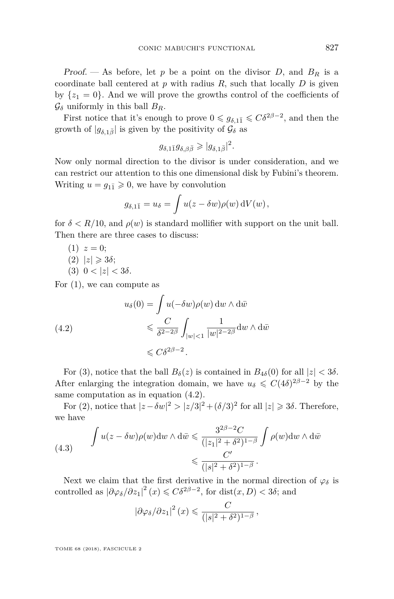Proof. — As before, let  $p$  be a point on the divisor  $D$ , and  $B_R$  is a coordinate ball centered at  $p$  with radius  $R$ , such that locally  $D$  is given by  $\{z_1 = 0\}$ . And we will prove the growths control of the coefficients of  $\mathcal{G}_{\delta}$  uniformly in this ball  $B_R$ .

First notice that it's enough to prove  $0 \leq g_{\delta,1\bar{1}} \leq C\delta^{2\beta-2}$ , and then the growth of  $|g_{\delta,1\bar{\beta}}|$  is given by the positivity of  $\mathcal{G}_{\delta}$  as

$$
g_{\delta,1\bar{1}}g_{\delta,\beta\bar{\beta}} \geqslant |g_{\delta,1\bar{\beta}}|^2.
$$

Now only normal direction to the divisor is under consideration, and we can restrict our attention to this one dimensional disk by Fubini's theorem. Writing  $u = g_{1\bar{1}} \geqslant 0$ , we have by convolution

$$
g_{\delta,1\bar{1}} = u_{\delta} = \int u(z - \delta w) \rho(w) dV(w),
$$

for  $\delta < R/10$ , and  $\rho(w)$  is standard mollifier with support on the unit ball. Then there are three cases to discuss:

$$
(1) z = 0;
$$

- <span id="page-23-2"></span> $(2)$   $|z| \geqslant 3\delta;$
- <span id="page-23-0"></span>(3)  $0 < |z| < 3\delta$ .

For (1), we can compute as

<span id="page-23-1"></span>(4.2)  

$$
u_{\delta}(0) = \int u(-\delta w)\rho(w) dw \wedge d\bar{w}
$$

$$
\leq \frac{C}{\delta^{2-2\beta}} \int_{|w|<1} \frac{1}{|w|^{2-2\beta}} dw \wedge d\bar{w}
$$

$$
\leq C\delta^{2\beta-2}.
$$

For [\(3\)](#page-23-0), notice that the ball  $B_\delta(z)$  is contained in  $B_{4\delta}(0)$  for all  $|z| < 3\delta$ . After enlarging the integration domain, we have  $u_{\delta} \leq C(4\delta)^{2\beta-2}$  by the same computation as in equation [\(4.2\)](#page-23-1).

For [\(2\)](#page-23-2), notice that  $|z - \delta w|^2 > |z/3|^2 + (\delta/3)^2$  for all  $|z| \geq 3\delta$ . Therefore, we have

(4.3) 
$$
\int u(z - \delta w) \rho(w) dw \wedge d\bar{w} \leq \frac{3^{2\beta - 2}C}{(|z_1|^2 + \delta^2)^{1 - \beta}} \int \rho(w) dw \wedge d\bar{w}
$$

$$
\leq \frac{C'}{(|s|^2 + \delta^2)^{1 - \beta}}.
$$

Next we claim that the first derivative in the normal direction of  $\varphi_{\delta}$  is controlled as  $|\partial \varphi_{\delta}/\partial z_1|^2(x) \leq C\delta^{2\beta-2}$ , for dist $(x, D) < 3\delta$ ; and

$$
\left|\partial\varphi_{\delta}/\partial z_{1}\right|^{2}(x) \leqslant \frac{C}{\left(|s|^{2}+\delta^{2}\right)^{1-\beta}},
$$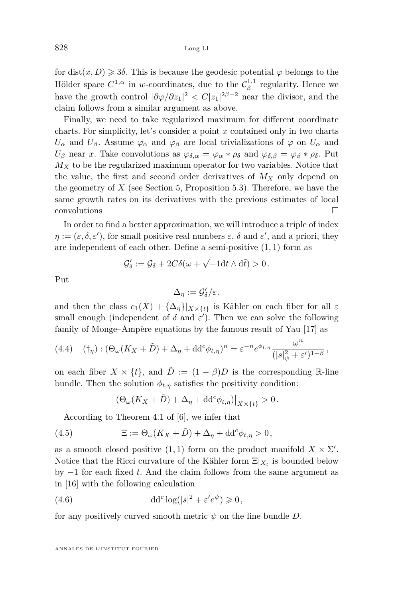for dist $(x, D) \ge 3\delta$ . This is because the geodesic potential  $\varphi$  belongs to the Hölder space  $C^{1,\alpha}$  in *w*-coordinates, due to the  $\mathcal{C}^{1,\bar{1}}_\beta$  regularity. Hence we have the growth control  $|\partial \varphi / \partial z_1|^2 < C |z_1|^{2\beta - 2}$  near the divisor, and the claim follows from a similar argument as above.

Finally, we need to take regularized maximum for different coordinate charts. For simplicity, let's consider a point *x* contained only in two charts *U*<sup>*α*</sup> and *U*<sup>β</sup>. Assume  $\varphi$ <sup>*α*</sup> and  $\varphi$ <sup>β</sup> are local trivializations of  $\varphi$  on  $U$ <sup>*α*</sup> and *U*<sup>β</sup> near *x*. Take convolutions as  $\varphi_{\delta,\alpha} = \varphi_{\alpha} * \rho_{\delta}$  and  $\varphi_{\delta,\beta} = \varphi_{\beta} * \rho_{\delta}$ . Put  $M_X$  to be the regularized maximum operator for two variables. Notice that the value, the first and second order derivatives of  $M_X$  only depend on the geometry of *X* (see Section [5,](#page-35-0) Proposition [5.3\)](#page-39-0). Therefore, we have the same growth rates on its derivatives with the previous estimates of local  $\Box$ convolutions

In order to find a better approximation, we will introduce a triple of index  $\eta := (\varepsilon, \delta, \varepsilon')$ , for small positive real numbers  $\varepsilon$ ,  $\delta$  and  $\varepsilon'$ , and a priori, they are independent of each other. Define a semi-positive (1*,* 1) form as

$$
\mathcal{G}'_{\delta} := \mathcal{G}_{\delta} + 2C\delta(\omega + \sqrt{-1}dt \wedge d\bar{t}) > 0.
$$

Put

$$
\Delta_\eta:=\mathcal{G}'_\delta/\varepsilon\,,
$$

and then the class  $c_1(X) + {\{\Delta_n\}}|_{X\times\{t\}}$  is Kähler on each fiber for all  $\varepsilon$ small enough (independent of  $\delta$  and  $\varepsilon'$ ). Then we can solve the following family of Monge–Ampère equations by the famous result of Yau [\[17\]](#page-41-3) as

<span id="page-24-1"></span><span id="page-24-0"></span>(4.4) 
$$
(\dagger_{\eta}) : (\Theta_{\omega}(K_X + \tilde{D}) + \Delta_{\eta} + dd^c \phi_{t,\eta})^n = \varepsilon^{-n} e^{\phi_{t,\eta}} \frac{\omega^n}{(|s|^2_{\psi} + \varepsilon')^{1-\beta}},
$$

on each fiber  $X \times \{t\}$ , and  $\overline{D} := (1 - \beta)D$  is the corresponding R-line bundle. Then the solution  $\phi_{t,\eta}$  satisfies the positivity condition:

<span id="page-24-2"></span>
$$
\left(\Theta_\omega(K_X+\tilde{D})+\Delta_\eta+\mathrm{d}{\mathrm{d}}^c\phi_{t,\eta}\right)\big|_{X\times\{t\}}>0\,.
$$

According to Theorem 4.1 of [\[6\]](#page-40-2), we infer that

(4.5) 
$$
\Xi := \Theta_{\omega}(K_X + \tilde{D}) + \Delta_{\eta} + dd^c \phi_{t, \eta} > 0,
$$

as a smooth closed positive  $(1,1)$  form on the product manifold  $X \times \Sigma'$ . Notice that the Ricci curvature of the Kähler form  $\Xi|_{X_t}$  is bounded below by −1 for each fixed *t*. And the claim follows from the same argument as in [\[16\]](#page-41-2) with the following calculation

(4.6) 
$$
\mathrm{d} \mathrm{d}^c \log(|s|^2 + \varepsilon' e^{\psi}) \geqslant 0,
$$

for any positively curved smooth metric  $\psi$  on the line bundle  $D$ .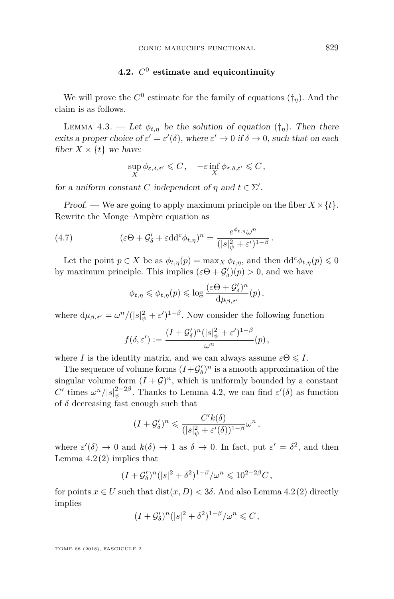#### **4.2.** *C* <sup>0</sup> **estimate and equicontinuity**

We will prove the  $C^0$  estimate for the family of equations  $(\dagger_{\eta})$ . And the claim is as follows.

<span id="page-25-0"></span>LEMMA 4.3. — Let  $\phi_{t,\eta}$  be the solution of equation  $(\dagger_{\eta})$ . Then there exits a proper choice of  $\varepsilon' = \varepsilon'(\delta)$ , where  $\varepsilon' \to 0$  if  $\delta \to 0$ , such that on each fiber  $X \times \{t\}$  we have:

$$
\sup_X \phi_{\varepsilon,\delta,\varepsilon'} \leqslant C\,,\quad -\varepsilon\inf_X \phi_{\varepsilon,\delta,\varepsilon'} \leqslant C\,,
$$

for a uniform constant *C* independent of  $\eta$  and  $t \in \Sigma'$ .

Proof. — We are going to apply maximum principle on the fiber  $X \times \{t\}$ . Rewrite the Monge–Ampère equation as

(4.7) 
$$
(\varepsilon \Theta + \mathcal{G}'_{\delta} + \varepsilon \mathrm{d} \mathrm{d}^c \phi_{t,\eta})^n = \frac{e^{\phi_{t,\eta}} \omega^n}{(|s|^2_{\psi} + \varepsilon')^{1-\beta}}.
$$

Let the point  $p \in X$  be as  $\phi_{t,\eta}(p) = \max_{X} \phi_{t,\eta}$ , and then  $\mathrm{d} \mathrm{d}^c \phi_{t,\eta}(p) \leq 0$ by maximum principle. This implies  $(\varepsilon \Theta + \mathcal{G}'_{\delta})(p) > 0$ , and we have

$$
\phi_{t,\eta} \leqslant \phi_{t,\eta}(p) \leqslant \log \frac{(\varepsilon \Theta + \mathcal{G}'_{\delta})^n}{\mathrm{d} \mu_{\beta,\varepsilon'}}(p),
$$

where  $d\mu_{\beta,\varepsilon'} = \omega^n / (|s|^2_{\psi} + \varepsilon')^{1-\beta}$ . Now consider the following function

$$
f(\delta,\varepsilon') := \frac{(I+\mathcal{G}_{\delta}')^n (|s|_{\psi}^2 + \varepsilon')^{1-\beta}}{\omega^n}(p),
$$

where *I* is the identity matrix, and we can always assume  $\varepsilon \Theta \leqslant I$ .

The sequence of volume forms  $(I + \mathcal{G}'_b)^n$  is a smooth approximation of the singular volume form  $(I + \mathcal{G})^n$ , which is uniformly bounded by a constant *C*<sup>'</sup> times  $\omega^n/|s|_{\psi}^{2-2\beta}$ . Thanks to Lemma [4.2,](#page-22-2) we can find  $\varepsilon'(\delta)$  as function of  $\delta$  decreasing fast enough such that

$$
(I+\mathcal{G}'_{\delta})^n\leqslant \frac{C'k(\delta)}{(|s|^2_{\psi}+\varepsilon'(\delta))^{1-\beta}}\omega^n\,,
$$

where  $\varepsilon'(\delta) \to 0$  and  $k(\delta) \to 1$  as  $\delta \to 0$ . In fact, put  $\varepsilon' = \delta^2$ , and then Lemma  $4.2(2)$  $4.2(2)$  implies that

$$
(I + \mathcal{G}'_{\delta})^n (|s|^2 + \delta^2)^{1-\beta} / \omega^n \leq 10^{2-2\beta} C,
$$

for points  $x \in U$  such that  $dist(x, D) < 3\delta$ . And also Lemma [4.2](#page-22-2)[\(2\)](#page-22-3) directly implies

$$
(I + \mathcal{G}'_{\delta})^n (|s|^2 + \delta^2)^{1-\beta}/\omega^n \leq C,
$$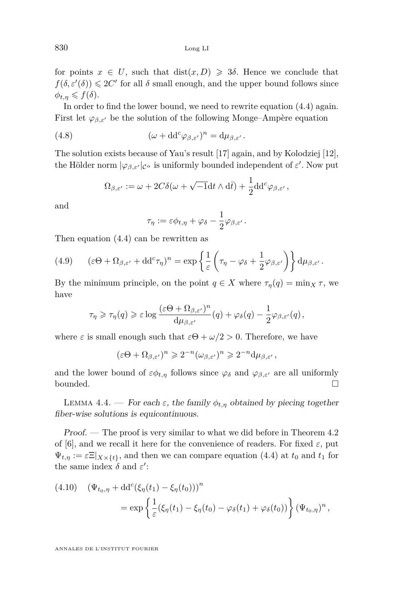for points  $x \in U$ , such that  $dist(x, D) \geq 3\delta$ . Hence we conclude that  $f(\delta, \varepsilon'(\delta)) \leq 2C'$  for all  $\delta$  small enough, and the upper bound follows since  $\phi_{t,\eta} \leqslant f(\delta).$ 

In order to find the lower bound, we need to rewrite equation [\(4.4\)](#page-24-1) again. First let  $\varphi_{\beta,\varepsilon}$  be the solution of the following Monge–Ampère equation

(4.8) 
$$
(\omega + dd^c \varphi_{\beta,\varepsilon'})^n = d\mu_{\beta,\varepsilon'}.
$$

The solution exists because of Yau's result [\[17\]](#page-41-3) again, and by Kolodziej [\[12\]](#page-40-10), the Hölder norm  $|\varphi_{\beta,\varepsilon'}|_{\mathcal{C}^{\alpha}}$  is uniformly bounded independent of  $\varepsilon'$ . Now put

$$
\Omega_{\beta,\varepsilon'}:=\omega+2C\delta(\omega+\sqrt{-1}\mathrm{d} t\wedge\mathrm{d} \bar{t})+\frac{1}{2}\mathrm{d} \mathrm{d}^c\varphi_{\beta,\varepsilon'}\,,
$$

and

$$
\tau_{\eta} := \varepsilon \phi_{t,\eta} + \varphi_{\delta} - \frac{1}{2} \varphi_{\beta,\varepsilon'}.
$$

Then equation [\(4.4\)](#page-24-1) can be rewritten as

(4.9) 
$$
(\varepsilon \Theta + \Omega_{\beta, \varepsilon'} + dd^c \tau_\eta)^n = \exp \left\{ \frac{1}{\varepsilon} \left( \tau_\eta - \varphi_\delta + \frac{1}{2} \varphi_{\beta, \varepsilon'} \right) \right\} d\mu_{\beta, \varepsilon'}.
$$

By the minimum principle, on the point  $q \in X$  where  $\tau_n(q) = \min_X \tau$ , we have

$$
\tau_\eta \geqslant \tau_\eta(q) \geqslant \varepsilon \log \dfrac{(\varepsilon \Theta + \Omega_{\beta,\varepsilon'})^n}{\mathrm{d} \mu_{\beta,\varepsilon'}}(q) + \varphi_\delta(q) - \frac{1}{2} \varphi_{\beta,\varepsilon'}(q)\,,
$$

where  $\varepsilon$  is small enough such that  $\varepsilon \Theta + \omega/2 > 0$ . Therefore, we have

$$
(\varepsilon \Theta + \Omega_{\beta, \varepsilon'})^n \geqslant 2^{-n} (\omega_{\beta, \varepsilon'})^n \geqslant 2^{-n} d\mu_{\beta, \varepsilon'},
$$

and the lower bound of  $\varepsilon \phi_{t,\eta}$  follows since  $\varphi_{\delta}$  and  $\varphi_{\beta,\varepsilon'}$  are all uniformly bounded.  $\Box$ 

<span id="page-26-0"></span>LEMMA 4.4. — For each  $\varepsilon$ , the family  $\phi_{t,\eta}$  obtained by piecing together fiber-wise solutions is equicontinuous.

Proof. — The proof is very similar to what we did before in Theorem 4.2 of [\[6\]](#page-40-2), and we recall it here for the convenience of readers. For fixed  $\varepsilon$ , put  $\Psi_{t,\eta} := \varepsilon \Xi|_{X\times\{t\}}$ , and then we can compare equation [\(4.4\)](#page-24-1) at  $t_0$  and  $t_1$  for the same index  $\delta$  and  $\varepsilon'$ :

(4.10) 
$$
(\Psi_{t_0, \eta} + dd^c(\xi_{\eta}(t_1) - \xi_{\eta}(t_0)))^n
$$
  
=  $\exp \left\{ \frac{1}{\varepsilon} (\xi_{\eta}(t_1) - \xi_{\eta}(t_0) - \varphi_{\delta}(t_1) + \varphi_{\delta}(t_0)) \right\} (\Psi_{t_0, \eta})^n,$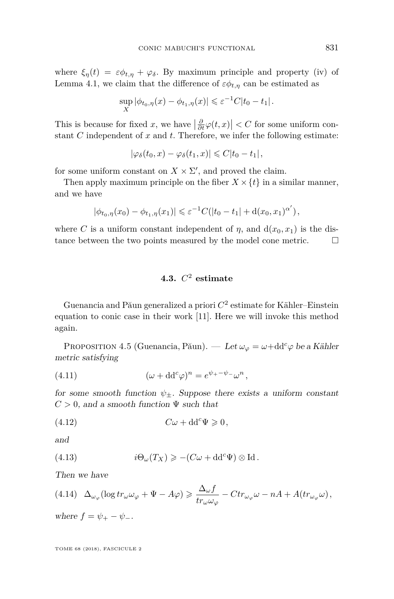where  $\xi_{\eta}(t) = \varepsilon \phi_{t,\eta} + \varphi_{\delta}$ . By maximum principle and property (iv) of Lemma [4.1,](#page-21-1) we claim that the difference of  $\varepsilon \phi_{t,\eta}$  can be estimated as

$$
\sup_{X} |\phi_{t_0, \eta}(x) - \phi_{t_1, \eta}(x)| \leq \varepsilon^{-1} C |t_0 - t_1|.
$$

This is because for fixed *x*, we have  $\left|\frac{\partial}{\partial t}\varphi(t,x)\right| < C$  for some uniform constant *C* independent of *x* and *t*. Therefore, we infer the following estimate:

$$
|\varphi_\delta(t_0,x)-\varphi_\delta(t_1,x)|\leqslant C|t_0-t_1|,
$$

for some uniform constant on  $X \times \Sigma'$ , and proved the claim.

Then apply maximum principle on the fiber  $X \times \{t\}$  in a similar manner, and we have

$$
|\phi_{t_0,\eta}(x_0) - \phi_{t_1,\eta}(x_1)| \leq \varepsilon^{-1} C(|t_0 - t_1| + d(x_0, x_1)^{\alpha'}),
$$

where *C* is a uniform constant independent of  $\eta$ , and  $d(x_0, x_1)$  is the distance between the two points measured by the model cone metric.

#### **4.3.** *C* <sup>2</sup> **estimate**

Guenancia and Păun generalized a priori *C* 2 estimate for Kähler–Einstein equation to conic case in their work [\[11\]](#page-40-5). Here we will invoke this method again.

<span id="page-27-1"></span>PROPOSITION 4.5 (Guenancia, Păun). — Let  $\omega_{\varphi} = \omega + \mathrm{dd}^c \varphi$  be a Kähler metric satisfying

<span id="page-27-2"></span>(4.11) 
$$
(\omega + dd^c \varphi)^n = e^{\psi_+ - \psi_-} \omega^n,
$$

for some smooth function  $\psi_{\pm}$ . Suppose there exists a uniform constant  $C > 0$ , and a smooth function  $\Psi$  such that

<span id="page-27-3"></span>
$$
(4.12) \tC\omega + dd^c\Psi \geqslant 0,
$$

and

<span id="page-27-4"></span>(4.13) 
$$
i\Theta_{\omega}(T_X) \geqslant -(C\omega + dd^c\Psi) \otimes \text{Id}.
$$

Then we have

<span id="page-27-0"></span>
$$
(4.14)\quad \Delta_{\omega_{\varphi}}(\log tr_{\omega}\omega_{\varphi} + \Psi - A\varphi) \geq \frac{\Delta_{\omega}f}{tr_{\omega}\omega_{\varphi}} - Ctr_{\omega_{\varphi}}\omega - nA + A(tr_{\omega_{\varphi}}\omega),
$$

where  $f = \psi_+ - \psi_-.$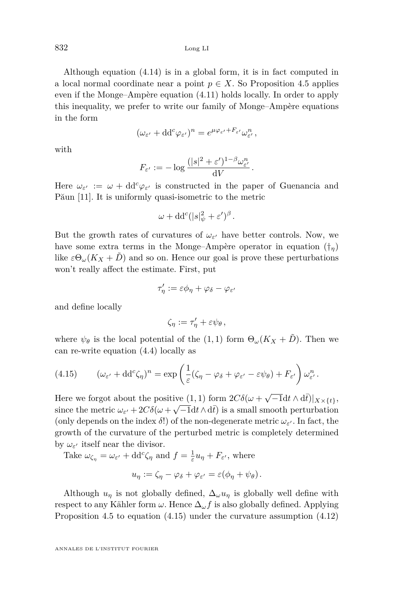832 Long LI

Although equation [\(4.14\)](#page-27-0) is in a global form, it is in fact computed in a local normal coordinate near a point  $p \in X$ . So Proposition [4.5](#page-27-1) applies even if the Monge–Ampère equation [\(4.11\)](#page-27-2) holds locally. In order to apply this inequality, we prefer to write our family of Monge–Ampère equations in the form

$$
(\omega_{\varepsilon'} + dd^c \varphi_{\varepsilon'})^n = e^{\mu \varphi_{\varepsilon'} + F_{\varepsilon'}} \omega_{\varepsilon'}^n,
$$

with

$$
F_{\varepsilon'} := -\log \frac{(|s|^2 + \varepsilon')^{1-\beta} \omega_{\varepsilon'}}{\mathrm{d}V}.
$$

Here  $\omega_{\varepsilon}$  :=  $\omega + dd^c \varphi_{\varepsilon}$  is constructed in the paper of Guenancia and Păun [\[11\]](#page-40-5). It is uniformly quasi-isometric to the metric

$$
\omega + \mathrm{dd}^c (|s|_\psi^2 + \varepsilon')^\beta.
$$

But the growth rates of curvatures of  $\omega_{\varepsilon}$  have better controls. Now, we have some extra terms in the Monge–Ampère operator in equation ([†](#page-24-0)*η*) like  $\varepsilon \Theta_{\omega}(K_X + D)$  and so on. Hence our goal is prove these perturbations won't really affect the estimate. First, put

$$
\tau'_\eta := \varepsilon \phi_\eta + \varphi_\delta - \varphi_{\varepsilon'}
$$

and define locally

$$
\zeta_{\eta} := \tau_{\eta}' + \varepsilon \psi_{\theta} ,
$$

where  $\psi_{\theta}$  is the local potential of the (1,1) form  $\Theta_{\omega}(K_X + \tilde{D})$ . Then we can re-write equation [\(4.4\)](#page-24-1) locally as

<span id="page-28-0"></span>(4.15) 
$$
(\omega_{\varepsilon'} + dd^c \zeta_\eta)^n = \exp \left( \frac{1}{\varepsilon} (\zeta_\eta - \varphi_\delta + \varphi_{\varepsilon'} - \varepsilon \psi_\theta) + F_{\varepsilon'} \right) \omega_{\varepsilon'}^n.
$$

Here we forgot about the positive  $(1,1)$  form  $2C\delta(\omega + \sqrt{-1}dt \wedge d\bar{t})|_{X\times\{t\}},$ since the metric  $\omega_{\varepsilon'} + 2C\delta(\omega + \sqrt{-1}dt \wedge d\bar{t})$  is a small smooth perturbation (only depends on the index  $\delta$ !) of the non-degenerate metric  $\omega_{\varepsilon}$ . In fact, the growth of the curvature of the perturbed metric is completely determined by  $\omega_{\varepsilon}$  itself near the divisor.

Take  $\omega_{\zeta_{\eta}} = \omega_{\varepsilon'} + dd^c \zeta_{\eta}$  and  $f = \frac{1}{\varepsilon} u_{\eta} + F_{\varepsilon'}$ , where

$$
u_{\eta} := \zeta_{\eta} - \varphi_{\delta} + \varphi_{\varepsilon'} = \varepsilon (\phi_{\eta} + \psi_{\theta}).
$$

Although  $u_{\eta}$  is not globally defined,  $\Delta_{\omega} u_{\eta}$  is globally well define with respect to any Kähler form  $\omega$ . Hence  $\Delta_{\omega} f$  is also globally defined. Applying Proposition [4.5](#page-27-1) to equation [\(4.15\)](#page-28-0) under the curvature assumption [\(4.12\)](#page-27-3)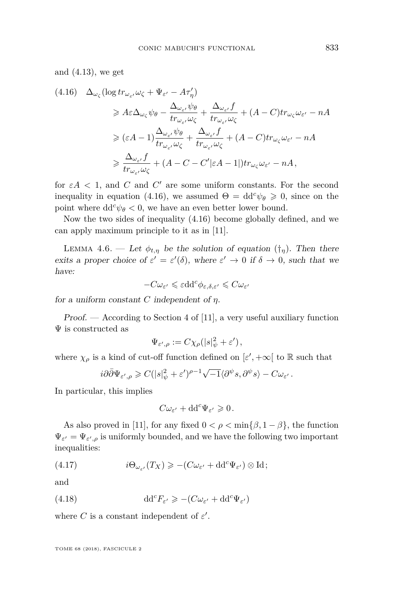and [\(4.13\)](#page-27-4), we get

<span id="page-29-0"></span>
$$
(4.16) \quad \Delta_{\omega_{\zeta}}(\log tr_{\omega_{\varepsilon}}, \omega_{\zeta} + \Psi_{\varepsilon'} - A\tau_{\eta}')
$$
\n
$$
\geq A\varepsilon \Delta_{\omega_{\zeta}} \psi_{\theta} - \frac{\Delta_{\omega_{\varepsilon}}, \psi_{\theta}}{tr_{\omega_{\varepsilon}}, \omega_{\zeta}} + \frac{\Delta_{\omega_{\varepsilon}}, f}{tr_{\omega_{\varepsilon}}, \omega_{\zeta}} + (A - C)tr_{\omega_{\zeta}} \omega_{\varepsilon'} - nA
$$
\n
$$
\geq (\varepsilon A - 1) \frac{\Delta_{\omega_{\varepsilon}}, \psi_{\theta}}{tr_{\omega_{\varepsilon}}, \omega_{\zeta}} + \frac{\Delta_{\omega_{\varepsilon}}, f}{tr_{\omega_{\varepsilon}}, \omega_{\zeta}} + (A - C)tr_{\omega_{\zeta}} \omega_{\varepsilon'} - nA
$$
\n
$$
\geq \frac{\Delta_{\omega_{\varepsilon}}, f}{tr_{\omega_{\varepsilon}}, \omega_{\zeta}} + (A - C - C'|\varepsilon A - 1|)tr_{\omega_{\zeta}} \omega_{\varepsilon'} - nA,
$$

for  $\varepsilon A < 1$ , and *C* and *C'* are some uniform constants. For the second inequality in equation [\(4.16\)](#page-29-0), we assumed  $\Theta = dd^c \psi_{\theta} \geq 0$ , since on the point where  $dd^c \psi_\theta < 0$ , we have an even better lower bound.

Now the two sides of inequality [\(4.16\)](#page-29-0) become globally defined, and we can apply maximum principle to it as in [\[11\]](#page-40-5).

<span id="page-29-3"></span>LEMMA 4.6. — Let  $\phi_{t,\eta}$  be the solution of equation  $(\dagger_{\eta})$ . Then there exits a proper choice of  $\varepsilon' = \varepsilon'(\delta)$ , where  $\varepsilon' \to 0$  if  $\delta \to 0$ , such that we have:

$$
-C\omega_{\varepsilon'}\leqslant \varepsilon dd^c\phi_{\varepsilon,\delta,\varepsilon'}\leqslant C\omega_{\varepsilon'}
$$

for a uniform constant *C* independent of *η*.

Proof. — According to Section 4 of [\[11\]](#page-40-5), a very useful auxiliary function  $\Psi$  is constructed as

$$
\Psi_{\varepsilon',\rho} := C \chi_{\rho}(|s|^2_{\psi} + \varepsilon'),
$$

where  $\chi_{\rho}$  is a kind of cut-off function defined on  $[\varepsilon', +\infty[$  to R such that

$$
i\partial\bar{\partial}\Psi_{\varepsilon',\rho}\geqslant C(|s|^2_\psi+\varepsilon')^{\rho-1}\sqrt{-1}\langle\partial^\psi s,\partial^\psi s\rangle-C\omega_{\varepsilon'}.
$$

In particular, this implies

<span id="page-29-2"></span><span id="page-29-1"></span>
$$
C\omega_{\varepsilon'} + dd^c \Psi_{\varepsilon'} \geqslant 0.
$$

As also proved in [\[11\]](#page-40-5), for any fixed  $0 < \rho < \min{\{\beta, 1 - \beta\}}$ , the function  $\Psi_{\varepsilon'} = \Psi_{\varepsilon',\rho}$  is uniformly bounded, and we have the following two important inequalities:

(4.17) 
$$
i\Theta_{\omega_{\varepsilon'}}(T_X) \geqslant -(C\omega_{\varepsilon'} + dd^c \Psi_{\varepsilon'}) \otimes \mathrm{Id};
$$

and

(4.18) 
$$
\mathrm{d} \mathrm{d}^c F_{\varepsilon'} \geqslant -(C\omega_{\varepsilon'} + \mathrm{d} \mathrm{d}^c \Psi_{\varepsilon'})
$$

where *C* is a constant independent of  $\varepsilon'$ .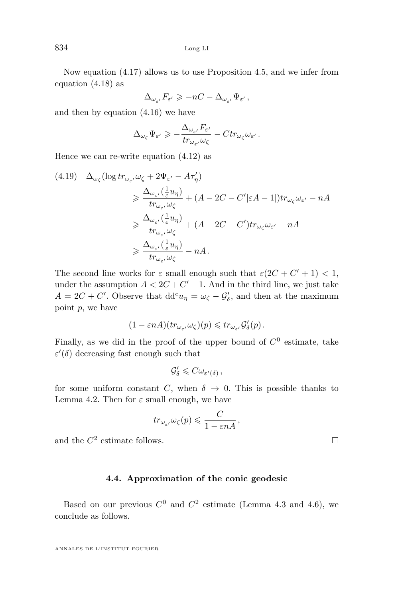Now equation [\(4.17\)](#page-29-1) allows us to use Proposition [4.5,](#page-27-1) and we infer from equation [\(4.18\)](#page-29-2) as

$$
\Delta_{\omega_{\varepsilon'}} F_{\varepsilon'} \geqslant -nC-\Delta_{\omega_{\varepsilon'}} \Psi_{\varepsilon'}\,,
$$

and then by equation [\(4.16\)](#page-29-0) we have

$$
\Delta_{\omega_{\zeta}} \Psi_{\varepsilon'} \geqslant -\frac{\Delta_{\omega_{\varepsilon'}} F_{\varepsilon'}}{tr_{\omega_{\varepsilon'}} \omega_{\zeta}} - C tr_{\omega_{\zeta}} \omega_{\varepsilon'}.
$$

Hence we can re-write equation [\(4.12\)](#page-27-3) as

$$
(4.19) \quad \Delta_{\omega_{\zeta}}(\log tr_{\omega_{\varepsilon}}, \omega_{\zeta} + 2\Psi_{\varepsilon'} - A\tau_{\eta}')
$$
\n
$$
\geq \frac{\Delta_{\omega_{\varepsilon'}}(\frac{1}{\varepsilon}u_{\eta})}{tr_{\omega_{\varepsilon'}}\omega_{\zeta}} + (A - 2C - C'|\varepsilon A - 1|)tr_{\omega_{\zeta}}\omega_{\varepsilon'} - nA
$$
\n
$$
\geq \frac{\Delta_{\omega_{\varepsilon'}}(\frac{1}{\varepsilon}u_{\eta})}{tr_{\omega_{\varepsilon'}}\omega_{\zeta}} + (A - 2C - C')tr_{\omega_{\zeta}}\omega_{\varepsilon'} - nA
$$
\n
$$
\geq \frac{\Delta_{\omega_{\varepsilon'}}(\frac{1}{\varepsilon}u_{\eta})}{tr_{\omega_{\varepsilon'}}\omega_{\zeta}} - nA.
$$

The second line works for  $\varepsilon$  small enough such that  $\varepsilon(2C + C' + 1) < 1$ , under the assumption  $A < 2C + C' + 1$ . And in the third line, we just take  $A = 2C + C'$ . Observe that  $dd^c u_\eta = \omega_\zeta - \mathcal{G}'_\delta$ , and then at the maximum point *p*, we have

$$
(1-\varepsilon n A)(tr_{\omega_{\varepsilon'}}\omega_\zeta)(p)\leqslant tr_{\omega_{\varepsilon'}}\mathcal{G}'_\delta(p)\,.
$$

Finally, as we did in the proof of the upper bound of  $C^0$  estimate, take  $\varepsilon'(\delta)$  decreasing fast enough such that

$$
\mathcal{G}'_{\delta} \leqslant C \omega_{\varepsilon'(\delta)},
$$

for some uniform constant *C*, when  $\delta \to 0$ . This is possible thanks to Lemma [4.2.](#page-22-2) Then for  $\varepsilon$  small enough, we have

$$
tr_{\omega_{\varepsilon'}}\omega_{\zeta}(p) \leqslant \frac{C}{1-\varepsilon nA},
$$

and the  $C^2$  estimate follows.

#### **4.4. Approximation of the conic geodesic**

Based on our previous  $C^0$  and  $C^2$  estimate (Lemma [4.3](#page-25-0) and [4.6\)](#page-29-3), we conclude as follows.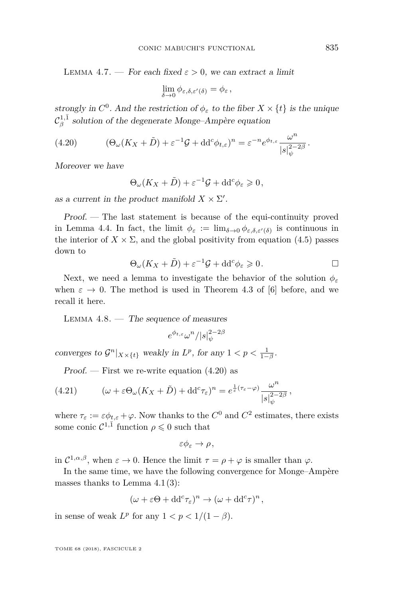<span id="page-31-3"></span>LEMMA 4.7. — For each fixed  $\varepsilon > 0$ , we can extract a limit

$$
\lim_{\delta \to 0} \phi_{\varepsilon,\delta,\varepsilon'(\delta)} = \phi_{\varepsilon},
$$

strongly in  $C^0$ . And the restriction of  $\phi_{\varepsilon}$  to the fiber  $X \times \{t\}$  is the unique  $\mathcal{C}^{1,\bar{1}}_\beta$  solution of the degenerate Monge–Ampère equation

(4.20) 
$$
(\Theta_{\omega}(K_X+\tilde{D})+\varepsilon^{-1}\mathcal{G}+\mathrm{d} \mathrm{d}^c \phi_{t,\varepsilon})^n=\varepsilon^{-n}e^{\phi_{t,\varepsilon}}\frac{\omega^n}{|s|_{\psi}^{2-2\beta}}.
$$

Moreover we have

<span id="page-31-0"></span>
$$
\Theta_{\omega}(K_X+\tilde{D})+\varepsilon^{-1}\mathcal{G}+\mathrm{d} \mathrm{d}^c\phi_{\varepsilon}\geqslant 0,
$$

as a current in the product manifold  $X \times \Sigma'$ .

Proof. — The last statement is because of the equi-continuity proved in Lemma [4.4.](#page-26-0) In fact, the limit  $\phi_{\varepsilon} := \lim_{\delta \to 0} \phi_{\varepsilon,\delta,\varepsilon'(\delta)}$  is continuous in the interior of  $X \times \Sigma$ , and the global positivity from equation [\(4.5\)](#page-24-2) passes down to

$$
\Theta_{\omega}(K_X + \tilde{D}) + \varepsilon^{-1} \mathcal{G} + \mathrm{d} \mathrm{d}^c \phi_{\varepsilon} \geq 0. \qquad \Box
$$

Next, we need a lemma to investigate the behavior of the solution  $\phi_{\varepsilon}$ when  $\varepsilon \to 0$ . The method is used in Theorem 4.3 of [\[6\]](#page-40-2) before, and we recall it here.

<span id="page-31-2"></span>LEMMA  $4.8.$  — The sequence of measures

$$
e^{\phi_{t,\varepsilon}}\omega^n/|s|_\psi^{2-2\beta}
$$

converges to  $\mathcal{G}^n|_{X\times\{t\}}$  weakly in  $L^p$ , for any  $1 < p < \frac{1}{1-\beta}$ .

<span id="page-31-1"></span>Proof. — First we re-write equation  $(4.20)$  as

(4.21) 
$$
(\omega + \varepsilon \Theta_{\omega} (K_X + \tilde{D}) + \mathrm{d} \mathrm{d}^c \tau_{\varepsilon})^n = e^{\frac{1}{\varepsilon} (\tau_{\varepsilon} - \varphi)} \frac{\omega^n}{|s|_{\psi}^{2-2\beta}},
$$

where  $\tau_{\varepsilon} := \varepsilon \phi_{t,\varepsilon} + \varphi$ . Now thanks to the  $C^0$  and  $C^2$  estimates, there exists some conic  $\mathcal{C}^{1,\bar{1}}$  function  $\rho \leq 0$  such that

$$
\varepsilon\phi_{\varepsilon}\to\rho\,,
$$

in  $\mathcal{C}^{1,\alpha,\beta}$ , when  $\varepsilon \to 0$ . Hence the limit  $\tau = \rho + \varphi$  is smaller than  $\varphi$ .

In the same time, we have the following convergence for Monge–Ampère masses thanks to Lemma  $4.1(3)$  $4.1(3)$ :

$$
(\omega + \varepsilon \Theta + dd^c \tau_{\varepsilon})^n \to (\omega + dd^c \tau)^n,
$$

in sense of weak  $L^p$  for any  $1 < p < 1/(1 - \beta)$ .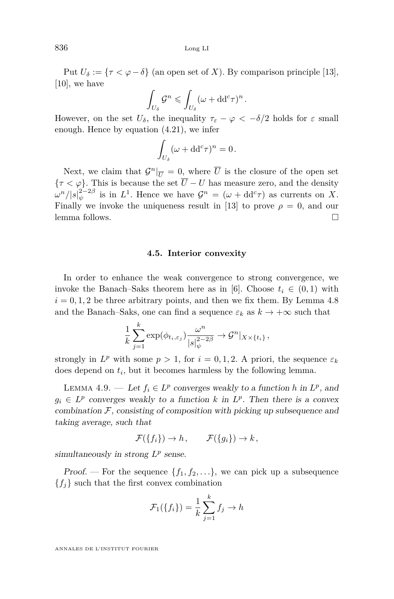Put  $U_{\delta} := \{ \tau < \varphi - \delta \}$  (an open set of *X*). By comparison principle [\[13\]](#page-41-4), [\[10\]](#page-40-11), we have

$$
\int_{U_{\delta}} \mathcal{G}^n \leqslant \int_{U_{\delta}} (\omega + dd^c \tau)^n.
$$

However, on the set  $U_{\delta}$ , the inequality  $\tau_{\epsilon} - \varphi < -\delta/2$  holds for  $\varepsilon$  small enough. Hence by equation [\(4.21\)](#page-31-1), we infer

$$
\int_{U_{\delta}} (\omega + dd^c \tau)^n = 0.
$$

Next, we claim that  $\mathcal{G}^n|_{\overline{U}} = 0$ , where  $\overline{U}$  is the closure of the open set  ${\tau < \varphi}$ . This is because the set  $\overline{U} - U$  has measure zero, and the density  $\omega^{n}/|s|_{\psi}^{2-2\beta}$  is in  $L^{1}$ . Hence we have  $\mathcal{G}^{n} = (\omega + dd^{c}\tau)$  as currents on *X*. Finally we invoke the uniqueness result in [\[13\]](#page-41-4) to prove  $\rho = 0$ , and our lemma follows.

#### **4.5. Interior convexity**

In order to enhance the weak convergence to strong convergence, we invoke the Banach–Saks theorem here as in [\[6\]](#page-40-2). Choose  $t_i \in (0,1)$  with  $i = 0, 1, 2$  be three arbitrary points, and then we fix them. By Lemma [4.8](#page-31-2) and the Banach–Saks, one can find a sequence  $\varepsilon_k$  as  $k \to +\infty$  such that

$$
\frac{1}{k}\sum_{j=1}^k \exp(\phi_{t_i,\varepsilon_j}) \frac{\omega^n}{|s|_{\psi}^{2-2\beta}} \to \mathcal{G}^n|_{X\times\{t_i\}},
$$

strongly in  $L^p$  with some  $p > 1$ , for  $i = 0, 1, 2$ . A priori, the sequence  $\varepsilon_k$ does depend on *t<sup>i</sup>* , but it becomes harmless by the following lemma.

<span id="page-32-0"></span>LEMMA 4.9. — Let  $f_i \in L^p$  converges weakly to a function *h* in  $L^p$ , and  $g_i \in L^p$  converges weakly to a function *k* in  $L^p$ . Then there is a convex combination  $F$ , consisting of composition with picking up subsequence and taking average, such that

$$
\mathcal{F}(\lbrace f_i \rbrace) \to h, \qquad \mathcal{F}(\lbrace g_i \rbrace) \to k,
$$

simultaneously in strong  $L^p$  sense.

*Proof.* — For the sequence  $\{f_1, f_2, \ldots\}$ , we can pick up a subsequence  ${f_j}$  such that the first convex combination

$$
\mathcal{F}_1(\lbrace f_i \rbrace) = \frac{1}{k} \sum_{j=1}^k f_j \to h
$$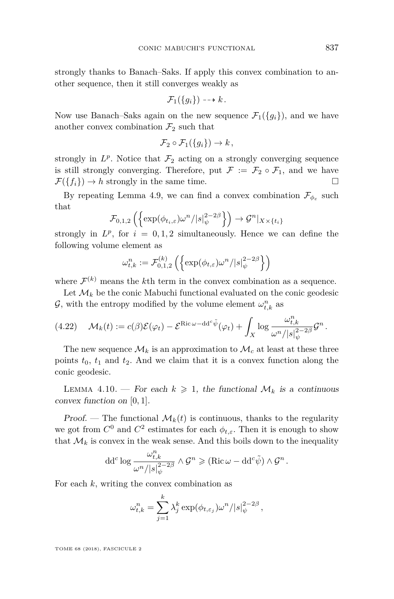strongly thanks to Banach–Saks. If apply this convex combination to another sequence, then it still converges weakly as

$$
\mathcal{F}_1(\{g_i\}) \dashrightarrow k.
$$

Now use Banach–Saks again on the new sequence  $\mathcal{F}_1({q_i})$ , and we have another convex combination  $\mathcal{F}_2$  such that

$$
\mathcal{F}_2 \circ \mathcal{F}_1(\{g_i\}) \to k,
$$

strongly in  $L^p$ . Notice that  $\mathcal{F}_2$  acting on a strongly converging sequence is still strongly converging. Therefore, put  $\mathcal{F} := \mathcal{F}_2 \circ \mathcal{F}_1$ , and we have  $\mathcal{F}(\{f_i\}) \to h$  strongly in the same time.

By repeating Lemma [4.9,](#page-32-0) we can find a convex combination  $\mathcal{F}_{\phi_{\varepsilon}}$  such that

$$
\mathcal{F}_{0,1,2}\left(\left\{\exp(\phi_{t_i,\varepsilon})\omega^n/|s|_{\psi}^{2-2\beta}\right\}\right) \to \mathcal{G}^n|_{X\times\{t_i\}}
$$

strongly in  $L^p$ , for  $i = 0, 1, 2$  simultaneously. Hence we can define the following volume element as

$$
\omega_{t,k}^n := \mathcal{F}_{0,1,2}^{(k)} \left( \left\{ \exp(\phi_{t,\varepsilon}) \omega^n / |s|_{\psi}^{2-2\beta} \right\} \right)
$$

where  $\mathcal{F}^{(k)}$  means the *k*<sup>th</sup> term in the convex combination as a sequence.

Let  $\mathcal{M}_k$  be the conic Mabuchi functional evaluated on the conic geodesic G, with the entropy modified by the volume element  $\omega_{t,k}^n$  as

$$
(4.22)\quad \mathcal{M}_k(t) := c(\beta)\mathcal{E}(\varphi_t) - \mathcal{E}^{\text{Ric}\,\omega - dd^c\tilde{\psi}}(\varphi_t) + \int_X \log \frac{\omega_{t,k}^n}{\omega^n/|s|_\psi^{2-2\beta}} \mathcal{G}^n.
$$

The new sequence  $\mathcal{M}_k$  is an approximation to  $\mathcal{M}_c$  at least at these three points  $t_0$ ,  $t_1$  and  $t_2$ . And we claim that it is a convex function along the conic geodesic.

LEMMA 4.10. – For each  $k \geq 1$ , the functional  $\mathcal{M}_k$  is a continuous convex function on [0*,* 1].

Proof. — The functional  $\mathcal{M}_k(t)$  is continuous, thanks to the regularity we got from  $C^0$  and  $C^2$  estimates for each  $\phi_{t,\varepsilon}$ . Then it is enough to show that  $\mathcal{M}_k$  is convex in the weak sense. And this boils down to the inequality

$$
\mathrm{d} \mathrm{d}^c \log \frac{\omega_{t,k}^n}{\omega^n/|s|_{\psi}^{2-2\beta}} \wedge \mathcal{G}^n \geqslant (\mathrm{Ric} \,\omega - \mathrm{d} \mathrm{d}^c \tilde{\psi}) \wedge \mathcal{G}^n \,.
$$

For each *k*, writing the convex combination as

$$
\omega_{t,k}^n = \sum_{j=1}^k \lambda_j^k \exp(\phi_{t,\varepsilon_j}) \omega^n / |s|_{\psi}^{2-2\beta},
$$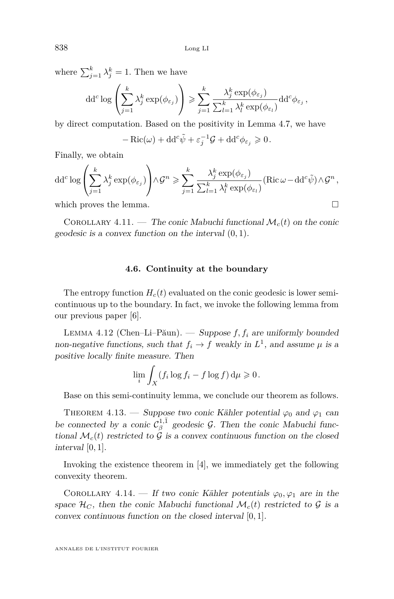where  $\sum_{j=1}^{k} \lambda_j^k = 1$ . Then we have

$$
\mathrm{d} \mathrm{d}^c \log \left( \sum_{j=1}^k \lambda_j^k \exp(\phi_{\varepsilon_j}) \right) \geqslant \sum_{j=1}^k \frac{\lambda_j^k \exp(\phi_{\varepsilon_j})}{\sum_{l=1}^k \lambda_l^k \exp(\phi_{\varepsilon_l})} \mathrm{d} \mathrm{d}^c \phi_{\varepsilon_j},
$$

by direct computation. Based on the positivity in Lemma [4.7,](#page-31-3) we have

$$
-\operatorname{Ric}(\omega) + \mathrm{d} \mathrm{d}^c \tilde{\psi} + \varepsilon_j^{-1} \mathcal{G} + \mathrm{d} \mathrm{d}^c \phi_{\varepsilon_j} \geqslant 0.
$$

Finally, we obtain

$$
\mathrm{d} \mathrm{d}^c \log \left( \sum_{j=1}^k \lambda_j^k \exp(\phi_{\varepsilon_j}) \right) \wedge \mathcal{G}^n \geqslant \sum_{j=1}^k \frac{\lambda_j^k \exp(\phi_{\varepsilon_j})}{\sum_{l=1}^k \lambda_l^k \exp(\phi_{\varepsilon_l})} (\mathrm{Ric} \,\omega - \mathrm{d} \mathrm{d}^c \tilde{\psi}) \wedge \mathcal{G}^n,
$$

which proves the lemma.  $\Box$ 

COROLLARY 4.11. — The conic Mabuchi functional  $\mathcal{M}_c(t)$  on the conic geodesic is a convex function on the interval (0*,* 1).

#### **4.6. Continuity at the boundary**

The entropy function  $H_c(t)$  evaluated on the conic geodesic is lower semicontinuous up to the boundary. In fact, we invoke the following lemma from our previous paper [\[6\]](#page-40-2).

Lemma 4.12 (Chen–Li–Păun). — Suppose *f, f<sup>i</sup>* are uniformly bounded non-negative functions, such that  $f_i \to f$  weakly in  $L^1$ , and assume  $\mu$  is a positive locally finite measure. Then

$$
\lim_{i} \int_X (f_i \log f_i - f \log f) \, \mathrm{d}\mu \geq 0.
$$

Base on this semi-continuity lemma, we conclude our theorem as follows.

<span id="page-34-0"></span>THEOREM 4.13. — Suppose two conic Kähler potential  $\varphi_0$  and  $\varphi_1$  can be connected by a conic  $C_{\beta}^{1,\bar{1}}$  geodesic  $\mathcal{G}$ . Then the conic Mabuchi functional  $\mathcal{M}_c(t)$  restricted to  $\mathcal G$  is a convex continuous function on the closed interval [0*,* 1].

Invoking the existence theorem in [\[4\]](#page-40-7), we immediately get the following convexity theorem.

COROLLARY 4.14. — If two conic Kähler potentials  $\varphi_0, \varphi_1$  are in the space  $\mathcal{H}_C$ , then the conic Mabuchi functional  $\mathcal{M}_c(t)$  restricted to  $\mathcal G$  is a convex continuous function on the closed interval [0*,* 1].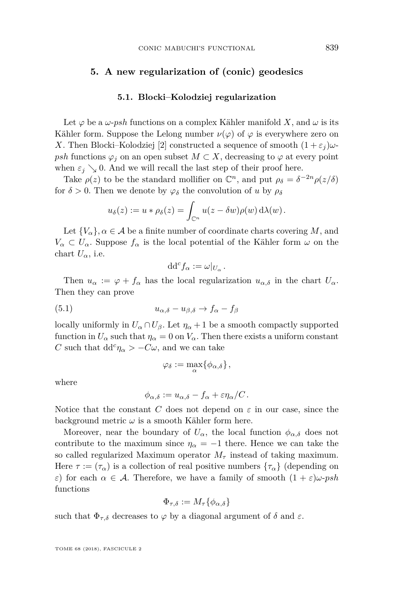#### <span id="page-35-0"></span>**5. A new regularization of (conic) geodesics**

#### **5.1. Blocki–Kolodziej regularization**

Let  $\varphi$  be a  $\omega$ -*psh* functions on a complex Kähler manifold *X*, and  $\omega$  is its Kähler form. Suppose the Lelong number  $\nu(\varphi)$  of  $\varphi$  is everywhere zero on *X*. Then Blocki–Kolodziej [\[2\]](#page-40-6) constructed a sequence of smooth  $(1 + \varepsilon_i)\omega$ *psh* functions  $\varphi_j$  on an open subset  $M \subset X$ , decreasing to  $\varphi$  at every point when  $\varepsilon_j \searrow 0$ . And we will recall the last step of their proof here.

Take  $\rho(z)$  to be the standard mollifier on  $\mathbb{C}^n$ , and put  $\rho_{\delta} = \delta^{-2n} \rho(z/\delta)$ for  $\delta > 0$ . Then we denote by  $\varphi_{\delta}$  the convolution of *u* by  $\rho_{\delta}$ 

$$
u_{\delta}(z) := u * \rho_{\delta}(z) = \int_{\mathbb{C}^n} u(z - \delta w) \rho(w) d\lambda(w).
$$

Let  ${V_\alpha}$ *,*  $\alpha \in \mathcal{A}$  *be a finite number of coordinate charts covering M, and*  $V_{\alpha} \subset U_{\alpha}$ . Suppose  $f_{\alpha}$  is the local potential of the Kähler form  $\omega$  on the chart  $U_{\alpha}$ , i.e.

$$
\mathrm{d} \mathrm{d}^c f_\alpha := \omega|_{U_\alpha}.
$$

Then  $u_{\alpha} := \varphi + f_{\alpha}$  has the local regularization  $u_{\alpha,\delta}$  in the chart  $U_{\alpha}$ . Then they can prove

$$
(5.1) \t\t u_{\alpha,\delta} - u_{\beta,\delta} \to f_{\alpha} - f_{\beta}
$$

locally uniformly in  $U_\alpha \cap U_\beta$ . Let  $\eta_\alpha + 1$  be a smooth compactly supported function in  $U_{\alpha}$  such that  $\eta_{\alpha} = 0$  on  $V_{\alpha}$ . Then there exists a uniform constant *C* such that  $dd^c \eta_\alpha > -C\omega$ , and we can take

$$
\varphi_{\delta} := \max_{\alpha} \{ \phi_{\alpha, \delta} \},
$$

where

$$
\phi_{\alpha,\delta} := u_{\alpha,\delta} - f_{\alpha} + \varepsilon \eta_{\alpha}/C.
$$

Notice that the constant *C* does not depend on  $\varepsilon$  in our case, since the background metric  $\omega$  is a smooth Kähler form here.

Moreover, near the boundary of  $U_{\alpha}$ , the local function  $\phi_{\alpha,\delta}$  does not contribute to the maximum since  $\eta_{\alpha} = -1$  there. Hence we can take the so called regularized Maximum operator  $M_{\tau}$  instead of taking maximum. Here  $\tau := (\tau_\alpha)$  is a collection of real positive numbers  $\{\tau_\alpha\}$  (depending on *ε*) for each  $\alpha \in \mathcal{A}$ . Therefore, we have a family of smooth  $(1 + \varepsilon)\omega$ -*psh* functions

$$
\Phi_{\tau,\delta} := M_\tau \{ \phi_{\alpha,\delta} \}
$$

such that  $\Phi_{\tau,\delta}$  decreases to  $\varphi$  by a diagonal argument of  $\delta$  and  $\varepsilon$ .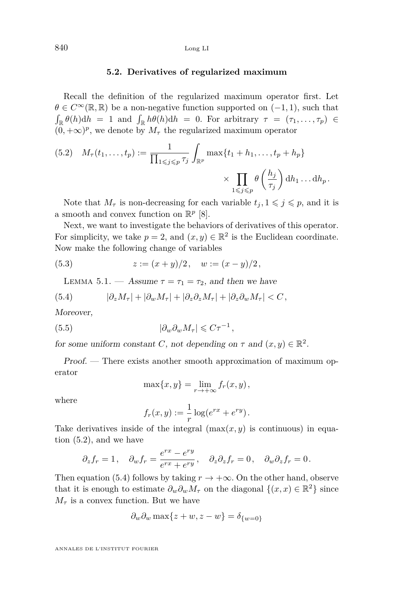#### **5.2. Derivatives of regularized maximum**

Recall the definition of the regularized maximum operator first. Let  $\theta \in C^{\infty}(\mathbb{R}, \mathbb{R})$  be a non-negative function supported on  $(-1, 1)$ , such that  $\int_{\mathbb{R}} \theta(h) dh = 1$  and  $\int_{\mathbb{R}} h\theta(h) dh = 0$ . For arbitrary  $\tau = (\tau_1, \ldots, \tau_p) \in$  $(0, +\infty)^p$ , we denote by  $M_\tau$  the regularized maximum operator

<span id="page-36-0"></span>(5.2) 
$$
M_{\tau}(t_1,\ldots,t_p) := \frac{1}{\prod_{1 \leq j \leq p} \tau_j} \int_{\mathbb{R}^p} \max\{t_1 + h_1,\ldots,t_p + h_p\} \times \prod_{1 \leq j \leq p} \theta\left(\frac{h_j}{\tau_j}\right) dh_1 \ldots dh_p.
$$

Note that  $M_{\tau}$  is non-decreasing for each variable  $t_j, 1 \leq j \leq p$ , and it is a smooth and convex function on  $\mathbb{R}^p$  [\[8\]](#page-40-4).

Next, we want to investigate the behaviors of derivatives of this operator. For simplicity, we take  $p = 2$ , and  $(x, y) \in \mathbb{R}^2$  is the Euclidean coordinate. Now make the following change of variables

(5.3) 
$$
z := (x + y)/2, \quad w := (x - y)/2,
$$

<span id="page-36-3"></span><span id="page-36-2"></span><span id="page-36-1"></span>LEMMA 5.1. — Assume  $\tau = \tau_1 = \tau_2$ , and then we have

(5.4) 
$$
|\partial_z M_\tau| + |\partial_w M_\tau| + |\partial_z \partial_z M_\tau| + |\partial_z \partial_w M_\tau| < C,
$$

Moreover,

$$
(5.5) \t\t\t |\partial_w \partial_w M_\tau| \leqslant C\tau^{-1},
$$

for some uniform constant *C*, not depending on  $\tau$  and  $(x, y) \in \mathbb{R}^2$ .

Proof. — There exists another smooth approximation of maximum operator

$$
\max\{x,y\} = \lim_{r \to +\infty} f_r(x,y),
$$

where

$$
f_r(x,y) := \frac{1}{r} \log(e^{rx} + e^{ry}).
$$

Take derivatives inside of the integral  $(\max(x, y)$  is continuous) in equation [\(5.2\)](#page-36-0), and we have

$$
\partial_z f_r = 1
$$
,  $\partial_w f_r = \frac{e^{rx} - e^{ry}}{e^{rx} + e^{ry}}$ ,  $\partial_z \partial_z f_r = 0$ ,  $\partial_w \partial_z f_r = 0$ .

Then equation [\(5.4\)](#page-36-1) follows by taking  $r \to +\infty$ . On the other hand, observe that it is enough to estimate  $\partial_w \partial_w M_\tau$  on the diagonal  $\{(x, x) \in \mathbb{R}^2\}$  since  $M_{\tau}$  is a convex function. But we have

$$
\partial_w \partial_w \max \{ z + w, z - w \} = \delta_{\{w = 0\}}
$$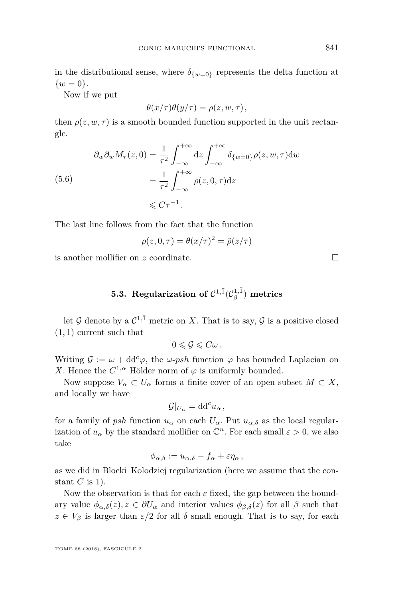in the distributional sense, where  $\delta_{\{w=0\}}$  represents the delta function at  $\{w = 0\}.$ 

Now if we put

$$
\theta(x/\tau)\theta(y/\tau) = \rho(z, w, \tau),
$$

then  $\rho(z, w, \tau)$  is a smooth bounded function supported in the unit rectangle.

$$
\partial_w \partial_w M_\tau(z,0) = \frac{1}{\tau^2} \int_{-\infty}^{+\infty} dz \int_{-\infty}^{+\infty} \delta_{\{w=0\}} \rho(z,w,\tau) dw
$$
  
(5.6)  

$$
= \frac{1}{\tau^2} \int_{-\infty}^{+\infty} \rho(z,0,\tau) dz
$$
  

$$
\leq C\tau^{-1}.
$$

The last line follows from the fact that the function

$$
\rho(z,0,\tau) = \theta(x/\tau)^2 = \tilde{\rho}(z/\tau)
$$

is another mollifier on *z* coordinate.

### **5.3.** Regularization of  $\mathcal{C}^{1,\bar{1}}(\mathcal{C}^{1,\bar{1}}_\beta)$  metrics

let  $G$  denote by a  $C^{1,\bar{1}}$  metric on X. That is to say,  $G$  is a positive closed (1*,* 1) current such that

$$
0\leqslant \mathcal{G}\leqslant C\omega\,.
$$

Writing  $\mathcal{G} := \omega + \mathrm{d} \mathrm{d}^c \varphi$ , the  $\omega$ -*psh* function  $\varphi$  has bounded Laplacian on *X*. Hence the  $C^{1,\alpha}$  Hölder norm of  $\varphi$  is uniformly bounded.

Now suppose  $V_\alpha \subset U_\alpha$  forms a finite cover of an open subset  $M \subset X$ , and locally we have

$$
\mathcal{G}|_{U_{\alpha}} = dd^c u_{\alpha},
$$

for a family of *psh* function  $u_{\alpha}$  on each  $U_{\alpha}$ . Put  $u_{\alpha,\delta}$  as the local regularization of  $u_{\alpha}$  by the standard mollifier on  $\mathbb{C}^n$ . For each small  $\varepsilon > 0$ , we also take

$$
\phi_{\alpha,\delta} := u_{\alpha,\delta} - f_{\alpha} + \varepsilon \eta_{\alpha},
$$

as we did in Blocki–Kolodziej regularization (here we assume that the constant *C* is 1).

Now the observation is that for each  $\varepsilon$  fixed, the gap between the boundary value  $\phi_{\alpha,\delta}(z), z \in \partial U_{\alpha}$  and interior values  $\phi_{\beta,\delta}(z)$  for all  $\beta$  such that  $z \in V_\beta$  is larger than  $\varepsilon/2$  for all  $\delta$  small enough. That is to say, for each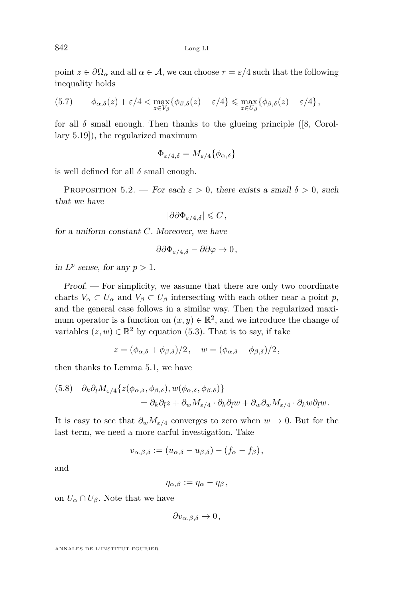point  $z \in \partial\Omega_{\alpha}$  and all  $\alpha \in \mathcal{A}$ , we can choose  $\tau = \varepsilon/4$  such that the following inequality holds

(5.7) 
$$
\phi_{\alpha,\delta}(z) + \varepsilon/4 < \max_{z \in V_\beta} \{ \phi_{\beta,\delta}(z) - \varepsilon/4 \} \leq \max_{z \in U_\beta} \{ \phi_{\beta,\delta}(z) - \varepsilon/4 \},
$$

for all  $\delta$  small enough. Then thanks to the glueing principle ([\[8,](#page-40-4) Corollary 5.19]), the regularized maximum

$$
\Phi_{\varepsilon/4,\delta}=M_{\varepsilon/4}\{\phi_{\alpha,\delta}\}
$$

is well defined for all  $\delta$  small enough.

<span id="page-38-0"></span>PROPOSITION 5.2. — For each  $\varepsilon > 0$ , there exists a small  $\delta > 0$ , such that we have

$$
|\partial\overline{\partial}\Phi_{\varepsilon/4,\delta}| \leqslant C\,,
$$

for a uniform constant *C*. Moreover, we have

$$
\partial\overline{\partial}\Phi_{\varepsilon/4,\delta}-\partial\overline{\partial}\varphi\to 0\,,
$$

in  $L^p$  sense, for any  $p > 1$ .

Proof. — For simplicity, we assume that there are only two coordinate charts  $V_{\alpha} \subset U_{\alpha}$  and  $V_{\beta} \subset U_{\beta}$  intersecting with each other near a point *p*, and the general case follows in a similar way. Then the regularized maximum operator is a function on  $(x, y) \in \mathbb{R}^2$ , and we introduce the change of variables  $(z, w) \in \mathbb{R}^2$  by equation [\(5.3\)](#page-36-2). That is to say, if take

$$
z = (\phi_{\alpha,\delta} + \phi_{\beta,\delta})/2, \quad w = (\phi_{\alpha,\delta} - \phi_{\beta,\delta})/2,
$$

then thanks to Lemma [5.1,](#page-36-3) we have

(5.8) 
$$
\partial_k \partial_{\bar{l}} M_{\varepsilon/4} \{ z(\phi_{\alpha,\delta}, \phi_{\beta,\delta}), w(\phi_{\alpha,\delta}, \phi_{\beta,\delta}) \} = \partial_k \partial_{\bar{l}} z + \partial_w M_{\varepsilon/4} \cdot \partial_k \partial_{\bar{l}} w + \partial_w \partial_w M_{\varepsilon/4} \cdot \partial_k w \partial_{\bar{l}} w.
$$

It is easy to see that  $\partial_w M_{\varepsilon/4}$  converges to zero when  $w \to 0$ . But for the last term, we need a more carful investigation. Take

$$
v_{\alpha,\beta,\delta} := (u_{\alpha,\delta} - u_{\beta,\delta}) - (f_{\alpha} - f_{\beta}),
$$

and

 $\eta_{\alpha,\beta} := \eta_{\alpha} - \eta_{\beta}$ 

on  $U_{\alpha} \cap U_{\beta}$ . Note that we have

 $\partial v_{\alpha,\beta,\delta} \to 0$ ,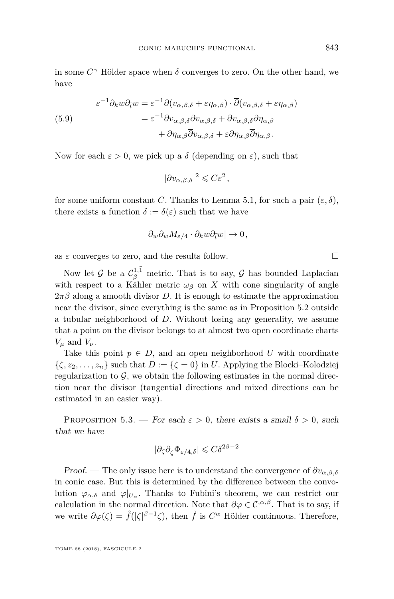in some  $C^{\gamma}$  Hölder space when  $\delta$  converges to zero. On the other hand, we have

(5.9)  
\n
$$
\varepsilon^{-1}\partial_k w \partial_{\bar{l}} w = \varepsilon^{-1}\partial(v_{\alpha,\beta,\delta} + \varepsilon \eta_{\alpha,\beta}) \cdot \overline{\partial}(v_{\alpha,\beta,\delta} + \varepsilon \eta_{\alpha,\beta})
$$
\n
$$
= \varepsilon^{-1}\partial v_{\alpha,\beta,\delta}\overline{\partial}v_{\alpha,\beta,\delta} + \partial v_{\alpha,\beta,\delta}\overline{\partial}\eta_{\alpha,\beta}
$$
\n
$$
+ \partial \eta_{\alpha,\beta}\overline{\partial}v_{\alpha,\beta,\delta} + \varepsilon \partial \eta_{\alpha,\beta}\overline{\partial}\eta_{\alpha,\beta}.
$$

Now for each  $\varepsilon > 0$ , we pick up a  $\delta$  (depending on  $\varepsilon$ ), such that

 $|\partial v_{\alpha,\beta,\delta}|^2 \leqslant C\varepsilon^2,$ 

for some uniform constant *C*. Thanks to Lemma [5.1,](#page-36-3) for such a pair  $(\varepsilon, \delta)$ , there exists a function  $\delta := \delta(\varepsilon)$  such that we have

$$
|\partial_w \partial_w M_{\varepsilon/4} \cdot \partial_k w \partial_{\bar{l}} w| \to 0,
$$

as  $\varepsilon$  converges to zero, and the results follow.

Now let  $\mathcal G$  be a  $\mathcal C^{1,\bar 1}_\beta$  metric. That is to say,  $\mathcal G$  has bounded Laplacian with respect to a Kähler metric  $\omega_{\beta}$  on X with cone singularity of angle  $2\pi\beta$  along a smooth divisor *D*. It is enough to estimate the approximation near the divisor, since everything is the same as in Proposition [5.2](#page-38-0) outside a tubular neighborhood of *D*. Without losing any generality, we assume that a point on the divisor belongs to at almost two open coordinate charts  $V_\mu$  and  $V_\nu$ .

Take this point  $p \in D$ , and an open neighborhood U with coordinate  $\{\zeta, z_2, \ldots, z_n\}$  such that  $D := \{\zeta = 0\}$  in *U*. Applying the Blocki–Kolodziej regularization to  $G$ , we obtain the following estimates in the normal direction near the divisor (tangential directions and mixed directions can be estimated in an easier way).

<span id="page-39-0"></span>PROPOSITION 5.3. — For each  $\varepsilon > 0$ , there exists a small  $\delta > 0$ , such that we have

$$
|\partial_{\zeta}\partial_{\bar{\zeta}}\Phi_{\varepsilon/4,\delta}| \leqslant C\delta^{2\beta-2}
$$

Proof. — The only issue here is to understand the convergence of  $\partial v_{\alpha,\beta,\delta}$ in conic case. But this is determined by the difference between the convolution  $\varphi_{\alpha,\delta}$  and  $\varphi|_{U_{\alpha}}$ . Thanks to Fubini's theorem, we can restrict our calculation in the normal direction. Note that  $\partial \varphi \in C^{\alpha,\beta}$ . That is to say, if we write  $\partial \varphi(\zeta) = \tilde{f}(|\zeta|^{\beta-1}\zeta)$ , then  $\tilde{f}$  is  $C^{\alpha}$  Hölder continuous. Therefore,

$$
\qquad \qquad \Box
$$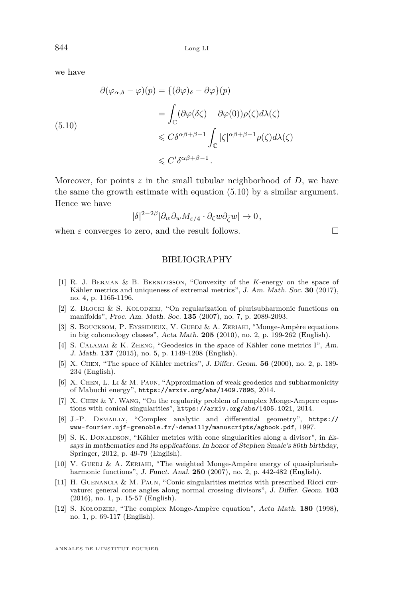we have

<span id="page-40-12"></span>
$$
\partial(\varphi_{\alpha,\delta} - \varphi)(p) = \{(\partial \varphi)_{\delta} - \partial \varphi\}(p)
$$

$$
= \int_{\mathbb{C}} (\partial \varphi(\delta \zeta) - \partial \varphi(0)) \rho(\zeta) d\lambda(\zeta)
$$

$$
\leq C \delta^{\alpha \beta + \beta - 1} \int_{\mathbb{C}} |\zeta|^{\alpha \beta + \beta - 1} \rho(\zeta) d\lambda(\zeta)
$$

$$
\leq C' \delta^{\alpha \beta + \beta - 1}.
$$

Moreover, for points  $z$  in the small tubular neighborhood of  $D$ , we have the same the growth estimate with equation [\(5.10\)](#page-40-12) by a similar argument. Hence we have

$$
|\delta|^{2-2\beta} |\partial_w \partial_w M_{\varepsilon/4} \cdot \partial_\zeta w \partial_{\bar{\zeta}} w| \to 0,
$$

when  $\varepsilon$  converges to zero, and the result follows.

#### BIBLIOGRAPHY

- <span id="page-40-1"></span>[1] R. J. Berman & B. Berndtsson, "Convexity of the *K*-energy on the space of Kähler metrics and uniqueness of extremal metrics", J. Am. Math. Soc. **30** (2017), no. 4, p. 1165-1196.
- <span id="page-40-6"></span>[2] Z. BLOCKI & S. KOLODZIEJ, "On regularization of plurisubharmonic functions on manifolds", Proc. Am. Math. Soc. **135** (2007), no. 7, p. 2089-2093.
- <span id="page-40-3"></span>[3] S. BOUCKSOM, P. EYSSIDIEUX, V. GUEDJ & A. ZERIAHI, "Monge-Ampère equations" in big cohomology classes", Acta Math. **205** (2010), no. 2, p. 199-262 (English).
- <span id="page-40-7"></span>[4] S. Calamai & K. Zheng, "Geodesics in the space of Kähler cone metrics I", Am. J. Math. **137** (2015), no. 5, p. 1149-1208 (English).
- <span id="page-40-0"></span>[5] X. Chen, "The space of Kähler metrics", J. Differ. Geom. **56** (2000), no. 2, p. 189- 234 (English).
- <span id="page-40-2"></span>[6] X. Chen, L. Li & M. Paun, "Approximation of weak geodesics and subharmonicity of Mabuchi energy", <https://arxiv.org/abs/1409.7896>, 2014.
- <span id="page-40-9"></span>[7] X. Chen & Y. Wang, "On the regularity problem of complex Monge-Ampere equations with conical singularities", <https://arxiv.org/abs/1405.1021>, 2014.
- <span id="page-40-4"></span>[8] J.-P. Demailly, "Complex analytic and differential geometry", [https://](https://www-fourier.ujf-grenoble.fr/~demailly/manuscripts/agbook.pdf) [www-fourier.ujf-grenoble.fr/~demailly/manuscripts/agbook.pdf](https://www-fourier.ujf-grenoble.fr/~demailly/manuscripts/agbook.pdf), 1997.
- <span id="page-40-8"></span>[9] S. K. DONALDSON, "Kähler metrics with cone singularities along a divisor", in Essays in mathematics and its applications. In honor of Stephen Smale's 80th birthday, Springer, 2012, p. 49-79 (English).
- <span id="page-40-11"></span>[10] V. GUEDJ & A. ZERIAHI, "The weighted Monge-Ampère energy of quasiplurisubharmonic functions", J. Funct. Anal. **250** (2007), no. 2, p. 442-482 (English).
- <span id="page-40-5"></span>[11] H. GUENANCIA & M. PAUN, "Conic singularities metrics with prescribed Ricci curvature: general cone angles along normal crossing divisors", J. Differ. Geom. **103** (2016), no. 1, p. 15-57 (English).
- <span id="page-40-10"></span>[12] S. Kołodziej, "The complex Monge-Ampère equation", Acta Math. **180** (1998), no. 1, p. 69-117 (English).